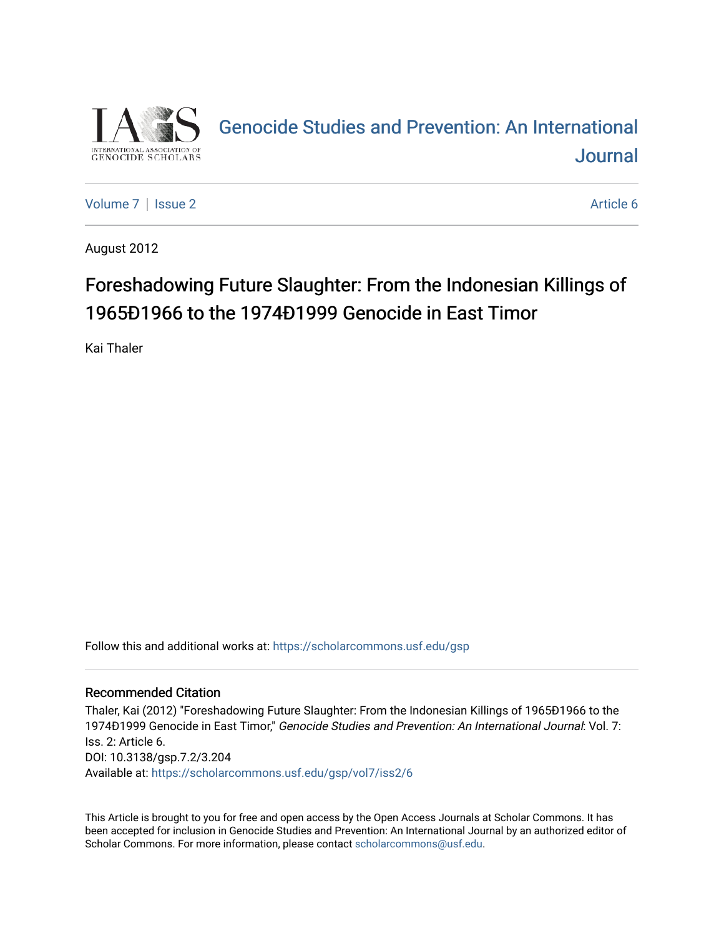

# [Genocide Studies and Prevention: An International](https://scholarcommons.usf.edu/gsp)  [Journal](https://scholarcommons.usf.edu/gsp)

[Volume 7](https://scholarcommons.usf.edu/gsp/vol7) | [Issue 2](https://scholarcommons.usf.edu/gsp/vol7/iss2) Article 6

August 2012

# Foreshadowing Future Slaughter: From the Indonesian Killings of 1965Ð1966 to the 1974Ð1999 Genocide in East Timor

Kai Thaler

Follow this and additional works at: [https://scholarcommons.usf.edu/gsp](https://scholarcommons.usf.edu/gsp?utm_source=scholarcommons.usf.edu%2Fgsp%2Fvol7%2Fiss2%2F6&utm_medium=PDF&utm_campaign=PDFCoverPages)

### Recommended Citation

Thaler, Kai (2012) "Foreshadowing Future Slaughter: From the Indonesian Killings of 1965Ð1966 to the 1974Ð1999 Genocide in East Timor," Genocide Studies and Prevention: An International Journal: Vol. 7: Iss. 2: Article 6. DOI: 10.3138/gsp.7.2/3.204 Available at: [https://scholarcommons.usf.edu/gsp/vol7/iss2/6](https://scholarcommons.usf.edu/gsp/vol7/iss2/6?utm_source=scholarcommons.usf.edu%2Fgsp%2Fvol7%2Fiss2%2F6&utm_medium=PDF&utm_campaign=PDFCoverPages)

This Article is brought to you for free and open access by the Open Access Journals at Scholar Commons. It has been accepted for inclusion in Genocide Studies and Prevention: An International Journal by an authorized editor of Scholar Commons. For more information, please contact [scholarcommons@usf.edu](mailto:scholarcommons@usf.edu).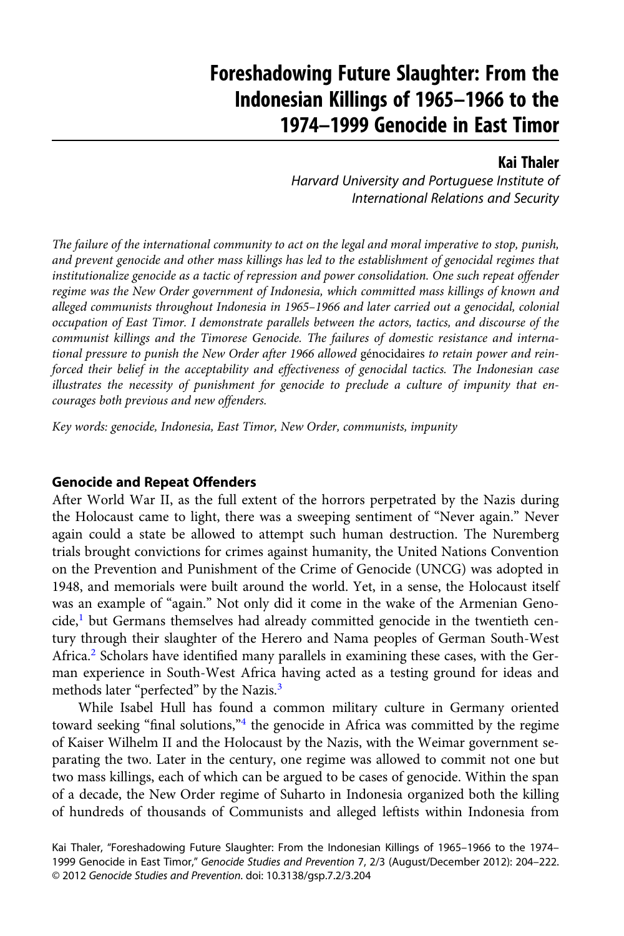## <span id="page-1-0"></span>Foreshadowing Future Slaughter: From the Indonesian Killings of 1965–1966 to the 1974–1999 Genocide in East Timor

### Kai Thaler

Harvard University and Portuguese Institute of International Relations and Security

The failure of the international community to act on the legal and moral imperative to stop, punish, and prevent genocide and other mass killings has led to the establishment of genocidal regimes that institutionalize genocide as a tactic of repression and power consolidation. One such repeat offender regime was the New Order government of Indonesia, which committed mass killings of known and alleged communists throughout Indonesia in 1965–1966 and later carried out a genocidal, colonial occupation of East Timor. I demonstrate parallels between the actors, tactics, and discourse of the communist killings and the Timorese Genocide. The failures of domestic resistance and international pressure to punish the New Order after 1966 allowed génocidaires to retain power and reinforced their belief in the acceptability and effectiveness of genocidal tactics. The Indonesian case illustrates the necessity of punishment for genocide to preclude a culture of impunity that encourages both previous and new offenders.

Key words: genocide, Indonesia, East Timor, New Order, communists, impunity

#### Genocide and Repeat Offenders

After World War II, as the full extent of the horrors perpetrated by the Nazis during the Holocaust came to light, there was a sweeping sentiment of "Never again." Never again could a state be allowed to attempt such human destruction. The Nuremberg trials brought convictions for crimes against humanity, the United Nations Convention on the Prevention and Punishment of the Crime of Genocide (UNCG) was adopted in 1948, and memorials were built around the world. Yet, in a sense, the Holocaust itself was an example of "again." Not only did it come in the wake of the Armenian Genocide, $<sup>1</sup>$  $<sup>1</sup>$  $<sup>1</sup>$  but Germans themselves had already committed genocide in the twentieth cen-</sup> tury through their slaughter of the Herero and Nama peoples of German South-West Africa.<sup>[2](#page-14-0)</sup> Scholars have identified many parallels in examining these cases, with the German experience in South-West Africa having acted as a testing ground for ideas and methods later "perfected" by the Nazis.<sup>[3](#page-14-0)</sup>

While Isabel Hull has found a common military culture in Germany oriented toward seeking "final solutions,"<sup>[4](#page-14-0)</sup> the genocide in Africa was committed by the regime of Kaiser Wilhelm II and the Holocaust by the Nazis, with the Weimar government separating the two. Later in the century, one regime was allowed to commit not one but two mass killings, each of which can be argued to be cases of genocide. Within the span of a decade, the New Order regime of Suharto in Indonesia organized both the killing of hundreds of thousands of Communists and alleged leftists within Indonesia from

Kai Thaler, "Foreshadowing Future Slaughter: From the Indonesian Killings of 1965–1966 to the 1974– 1999 Genocide in East Timor," Genocide Studies and Prevention 7, 2/3 (August/December 2012): 204–222. © 2012 Genocide Studies and Prevention. doi: 10.3138/gsp.7.2/3.204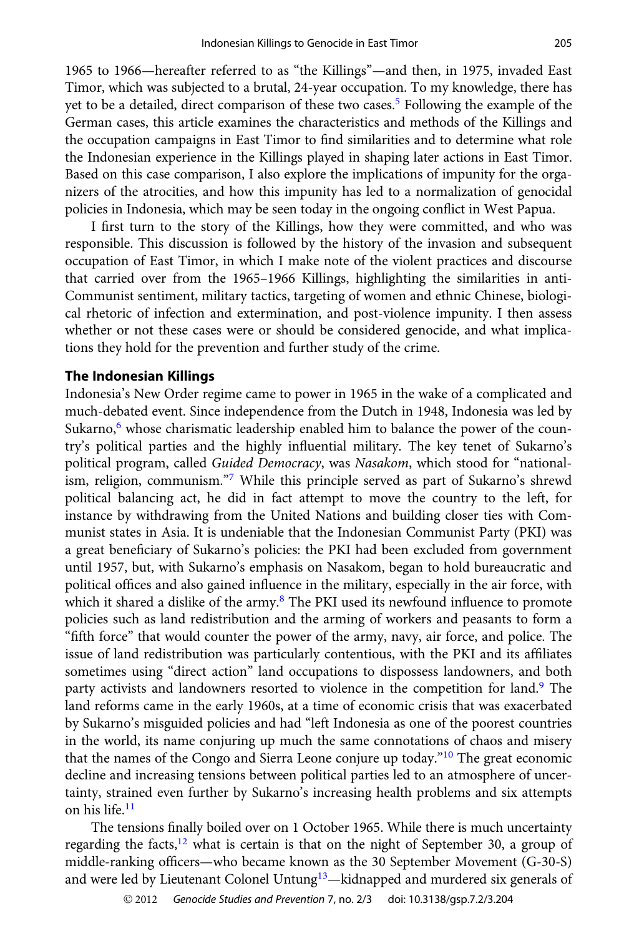<span id="page-2-0"></span>1965 to 1966—hereafter referred to as "the Killings"—and then, in 1975, invaded East Timor, which was subjected to a brutal, 24-year occupation. To my knowledge, there has yet to be a detailed, direct comparison of these two cases[.5](#page-14-0) Following the example of the German cases, this article examines the characteristics and methods of the Killings and the occupation campaigns in East Timor to find similarities and to determine what role the Indonesian experience in the Killings played in shaping later actions in East Timor. Based on this case comparison, I also explore the implications of impunity for the organizers of the atrocities, and how this impunity has led to a normalization of genocidal policies in Indonesia, which may be seen today in the ongoing conflict in West Papua.

I first turn to the story of the Killings, how they were committed, and who was responsible. This discussion is followed by the history of the invasion and subsequent occupation of East Timor, in which I make note of the violent practices and discourse that carried over from the 1965–1966 Killings, highlighting the similarities in anti-Communist sentiment, military tactics, targeting of women and ethnic Chinese, biological rhetoric of infection and extermination, and post-violence impunity. I then assess whether or not these cases were or should be considered genocide, and what implications they hold for the prevention and further study of the crime.

#### The Indonesian Killings

Indonesia's New Order regime came to power in 1965 in the wake of a complicated and much-debated event. Since independence from the Dutch in 1948, Indonesia was led by Sukarno, $6$  whose charismatic leadership enabled him to balance the power of the country's political parties and the highly influential military. The key tenet of Sukarno's political program, called Guided Democracy, was Nasakom, which stood for "nationalism, religion, communism."[7](#page-14-0) While this principle served as part of Sukarno's shrewd political balancing act, he did in fact attempt to move the country to the left, for instance by withdrawing from the United Nations and building closer ties with Communist states in Asia. It is undeniable that the Indonesian Communist Party (PKI) was a great beneficiary of Sukarno's policies: the PKI had been excluded from government until 1957, but, with Sukarno's emphasis on Nasakom, began to hold bureaucratic and political offices and also gained influence in the military, especially in the air force, with which it shared a dislike of the army.<sup>[8](#page-14-0)</sup> The PKI used its newfound influence to promote policies such as land redistribution and the arming of workers and peasants to form a "fifth force" that would counter the power of the army, navy, air force, and police. The issue of land redistribution was particularly contentious, with the PKI and its affiliates sometimes using "direct action" land occupations to dispossess landowners, and both party activists and landowners resorted to violence in the competition for land.[9](#page-15-0) The land reforms came in the early 1960s, at a time of economic crisis that was exacerbated by Sukarno's misguided policies and had "left Indonesia as one of the poorest countries in the world, its name conjuring up much the same connotations of chaos and misery that the names of the Congo and Sierra Leone conjure up today."[10](#page-15-0) The great economic decline and increasing tensions between political parties led to an atmosphere of uncertainty, strained even further by Sukarno's increasing health problems and six attempts on his life.[11](#page-15-0)

The tensions finally boiled over on 1 October 1965. While there is much uncertainty regarding the facts, $12$  what is certain is that on the night of September 30, a group of middle-ranking officers—who became known as the 30 September Movement (G-30-S) and were led by Lieutenant Colonel Untung<sup>[13](#page-15-0)</sup>—kidnapped and murdered six generals of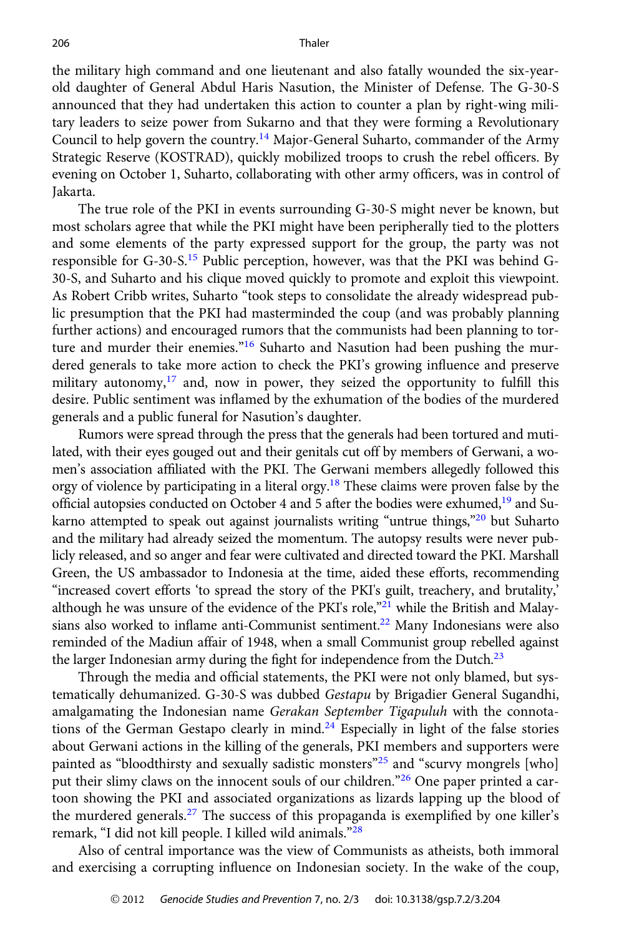<span id="page-3-0"></span>the military high command and one lieutenant and also fatally wounded the six-yearold daughter of General Abdul Haris Nasution, the Minister of Defense. The G-30-S announced that they had undertaken this action to counter a plan by right-wing military leaders to seize power from Sukarno and that they were forming a Revolutionary Council to help govern the country.<sup>14</sup> Major-General Suharto, commander of the Army Strategic Reserve (KOSTRAD), quickly mobilized troops to crush the rebel officers. By evening on October 1, Suharto, collaborating with other army officers, was in control of Jakarta.

The true role of the PKI in events surrounding G-30-S might never be known, but most scholars agree that while the PKI might have been peripherally tied to the plotters and some elements of the party expressed support for the group, the party was not responsible for  $G$ -30-S.<sup>[15](#page-15-0)</sup> Public perception, however, was that the PKI was behind  $G$ -30-S, and Suharto and his clique moved quickly to promote and exploit this viewpoint. As Robert Cribb writes, Suharto "took steps to consolidate the already widespread public presumption that the PKI had masterminded the coup (and was probably planning further actions) and encouraged rumors that the communists had been planning to tor-ture and murder their enemies."<sup>[16](#page-15-0)</sup> Suharto and Nasution had been pushing the murdered generals to take more action to check the PKI's growing influence and preserve military autonomy, $17$  and, now in power, they seized the opportunity to fulfill this desire. Public sentiment was inflamed by the exhumation of the bodies of the murdered generals and a public funeral for Nasution's daughter.

Rumors were spread through the press that the generals had been tortured and mutilated, with their eyes gouged out and their genitals cut off by members of Gerwani, a women's association affiliated with the PKI. The Gerwani members allegedly followed this orgy of violence by participating in a literal orgy.<sup>18</sup> These claims were proven false by the official autopsies conducted on October 4 and 5 after the bodies were exhumed, $19$  and Su-karno attempted to speak out against journalists writing "untrue things,"<sup>[20](#page-15-0)</sup> but Suharto and the military had already seized the momentum. The autopsy results were never publicly released, and so anger and fear were cultivated and directed toward the PKI. Marshall Green, the US ambassador to Indonesia at the time, aided these efforts, recommending "increased covert efforts 'to spread the story of the PKI's guilt, treachery, and brutality,' although he was unsure of the evidence of the PKI's role, $"^{21}$  $"^{21}$  $"^{21}$  while the British and Malaysians also worked to inflame anti-Communist sentiment.<sup>22</sup> Many Indonesians were also reminded of the Madiun affair of 1948, when a small Communist group rebelled against the larger Indonesian army during the fight for independence from the Dutch. $23$ 

Through the media and official statements, the PKI were not only blamed, but systematically dehumanized. G-30-S was dubbed Gestapu by Brigadier General Sugandhi, amalgamating the Indonesian name Gerakan September Tigapuluh with the connota-tions of the German Gestapo clearly in mind.<sup>[24](#page-15-0)</sup> Especially in light of the false stories about Gerwani actions in the killing of the generals, PKI members and supporters were painted as "bloodthirsty and sexually sadistic monsters"<sup>[25](#page-15-0)</sup> and "scurvy mongrels [who] put their slimy claws on the innocent souls of our children."<sup>[26](#page-15-0)</sup> One paper printed a cartoon showing the PKI and associated organizations as lizards lapping up the blood of the murdered generals.<sup>[27](#page-15-0)</sup> The success of this propaganda is exemplified by one killer's remark, "I did not kill people. I killed wild animals."[28](#page-15-0)

Also of central importance was the view of Communists as atheists, both immoral and exercising a corrupting influence on Indonesian society. In the wake of the coup,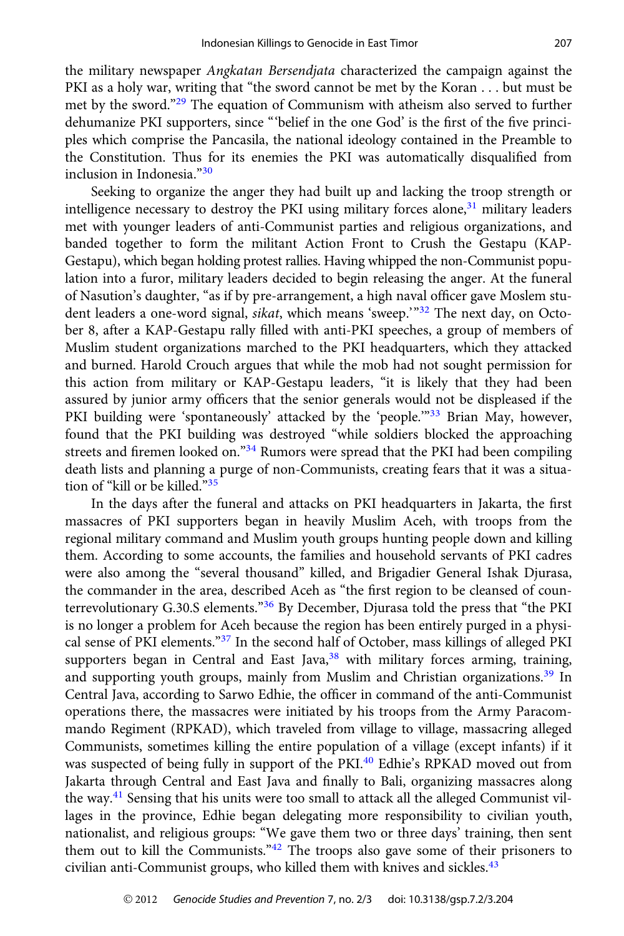<span id="page-4-0"></span>the military newspaper Angkatan Bersendjata characterized the campaign against the PKI as a holy war, writing that "the sword cannot be met by the Koran . . . but must be met by the sword."[29](#page-15-0) The equation of Communism with atheism also served to further dehumanize PKI supporters, since "'belief in the one God' is the first of the five principles which comprise the Pancasila, the national ideology contained in the Preamble to the Constitution. Thus for its enemies the PKI was automatically disqualified from inclusion in Indonesia."[30](#page-15-0)

Seeking to organize the anger they had built up and lacking the troop strength or intelligence necessary to destroy the PKI using military forces alone,<sup>[31](#page-15-0)</sup> military leaders met with younger leaders of anti-Communist parties and religious organizations, and banded together to form the militant Action Front to Crush the Gestapu (KAP-Gestapu), which began holding protest rallies. Having whipped the non-Communist population into a furor, military leaders decided to begin releasing the anger. At the funeral of Nasution's daughter, "as if by pre-arrangement, a high naval officer gave Moslem stu-dent leaders a one-word signal, sikat, which means 'sweep.'"<sup>[32](#page-15-0)</sup> The next day, on October 8, after a KAP-Gestapu rally filled with anti-PKI speeches, a group of members of Muslim student organizations marched to the PKI headquarters, which they attacked and burned. Harold Crouch argues that while the mob had not sought permission for this action from military or KAP-Gestapu leaders, "it is likely that they had been assured by junior army officers that the senior generals would not be displeased if the PKI building were 'spontaneously' attacked by the 'people."<sup>[33](#page-15-0)</sup> Brian May, however, found that the PKI building was destroyed "while soldiers blocked the approaching streets and firemen looked on."[34](#page-15-0) Rumors were spread that the PKI had been compiling death lists and planning a purge of non-Communists, creating fears that it was a situation of "kill or be killed."[35](#page-15-0)

In the days after the funeral and attacks on PKI headquarters in Jakarta, the first massacres of PKI supporters began in heavily Muslim Aceh, with troops from the regional military command and Muslim youth groups hunting people down and killing them. According to some accounts, the families and household servants of PKI cadres were also among the "several thousand" killed, and Brigadier General Ishak Djurasa, the commander in the area, described Aceh as "the first region to be cleansed of coun-terrevolutionary G.30.S elements."<sup>[36](#page-16-0)</sup> By December, Djurasa told the press that "the PKI is no longer a problem for Aceh because the region has been entirely purged in a physi-cal sense of PKI elements."<sup>[37](#page-16-0)</sup> In the second half of October, mass killings of alleged PKI supporters began in Central and East Java, $38$  with military forces arming, training, and supporting youth groups, mainly from Muslim and Christian organizations.<sup>[39](#page-16-0)</sup> In Central Java, according to Sarwo Edhie, the officer in command of the anti-Communist operations there, the massacres were initiated by his troops from the Army Paracommando Regiment (RPKAD), which traveled from village to village, massacring alleged Communists, sometimes killing the entire population of a village (except infants) if it was suspected of being fully in support of the PKI.<sup>[40](#page-16-0)</sup> Edhie's RPKAD moved out from Jakarta through Central and East Java and finally to Bali, organizing massacres along the way.[41](#page-16-0) Sensing that his units were too small to attack all the alleged Communist villages in the province, Edhie began delegating more responsibility to civilian youth, nationalist, and religious groups: "We gave them two or three days' training, then sent them out to kill the Communists."[42](#page-16-0) The troops also gave some of their prisoners to civilian anti-Communist groups, who killed them with knives and sickles.<sup>[43](#page-16-0)</sup>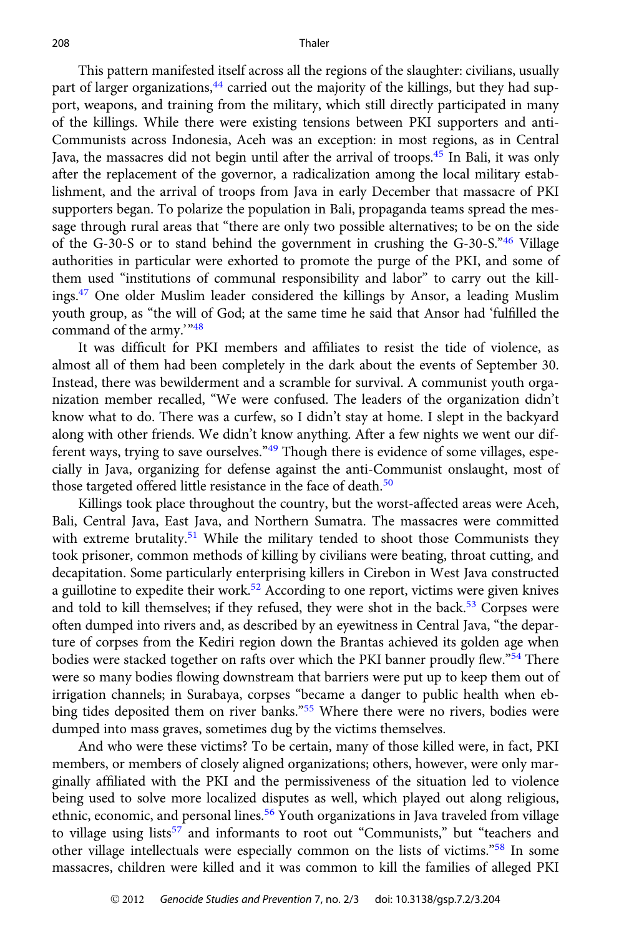<span id="page-5-0"></span>This pattern manifested itself across all the regions of the slaughter: civilians, usually part of larger organizations,<sup>44</sup> carried out the majority of the killings, but they had support, weapons, and training from the military, which still directly participated in many of the killings. While there were existing tensions between PKI supporters and anti-Communists across Indonesia, Aceh was an exception: in most regions, as in Central Java, the massacres did not begin until after the arrival of troops.<sup>45</sup> In Bali, it was only after the replacement of the governor, a radicalization among the local military establishment, and the arrival of troops from Java in early December that massacre of PKI supporters began. To polarize the population in Bali, propaganda teams spread the message through rural areas that "there are only two possible alternatives; to be on the side of the G-30-S or to stand behind the government in crushing the G-30-S."[46](#page-16-0) Village authorities in particular were exhorted to promote the purge of the PKI, and some of them used "institutions of communal responsibility and labor" to carry out the killings[.47](#page-16-0) One older Muslim leader considered the killings by Ansor, a leading Muslim youth group, as "the will of God; at the same time he said that Ansor had 'fulfilled the command of the army.'"[48](#page-16-0)

It was difficult for PKI members and affiliates to resist the tide of violence, as almost all of them had been completely in the dark about the events of September 30. Instead, there was bewilderment and a scramble for survival. A communist youth organization member recalled, "We were confused. The leaders of the organization didn't know what to do. There was a curfew, so I didn't stay at home. I slept in the backyard along with other friends. We didn't know anything. After a few nights we went our dif-ferent ways, trying to save ourselves."<sup>[49](#page-16-0)</sup> Though there is evidence of some villages, especially in Java, organizing for defense against the anti-Communist onslaught, most of those targeted offered little resistance in the face of death.<sup>[50](#page-16-0)</sup>

Killings took place throughout the country, but the worst-affected areas were Aceh, Bali, Central Java, East Java, and Northern Sumatra. The massacres were committed with extreme brutality. $51$  While the military tended to shoot those Communists they took prisoner, common methods of killing by civilians were beating, throat cutting, and decapitation. Some particularly enterprising killers in Cirebon in West Java constructed a guillotine to expedite their work.<sup>[52](#page-16-0)</sup> According to one report, victims were given knives and told to kill themselves; if they refused, they were shot in the back.<sup>[53](#page-16-0)</sup> Corpses were often dumped into rivers and, as described by an eyewitness in Central Java, "the departure of corpses from the Kediri region down the Brantas achieved its golden age when bodies were stacked together on rafts over which the PKI banner proudly flew."<sup>[54](#page-16-0)</sup> There were so many bodies flowing downstream that barriers were put up to keep them out of irrigation channels; in Surabaya, corpses "became a danger to public health when eb-bing tides deposited them on river banks."<sup>[55](#page-16-0)</sup> Where there were no rivers, bodies were dumped into mass graves, sometimes dug by the victims themselves.

And who were these victims? To be certain, many of those killed were, in fact, PKI members, or members of closely aligned organizations; others, however, were only marginally affiliated with the PKI and the permissiveness of the situation led to violence being used to solve more localized disputes as well, which played out along religious, ethnic, economic, and personal lines.<sup>[56](#page-16-0)</sup> Youth organizations in Java traveled from village to village using lists<sup>[57](#page-16-0)</sup> and informants to root out "Communists," but "teachers and other village intellectuals were especially common on the lists of victims."[58](#page-16-0) In some massacres, children were killed and it was common to kill the families of alleged PKI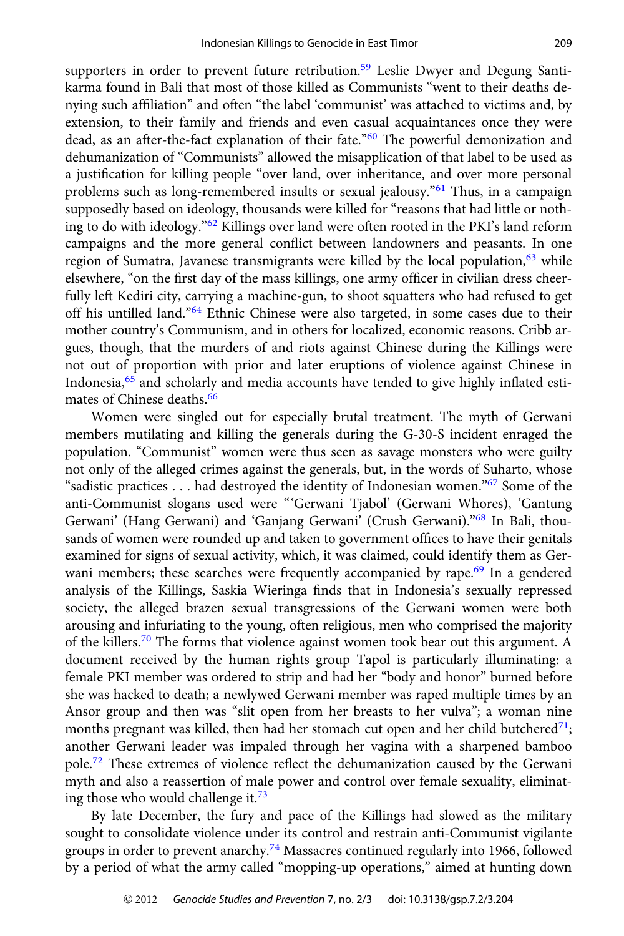<span id="page-6-0"></span>supporters in order to prevent future retribution.<sup>[59](#page-16-0)</sup> Leslie Dwyer and Degung Santikarma found in Bali that most of those killed as Communists "went to their deaths denying such affiliation" and often "the label 'communist' was attached to victims and, by extension, to their family and friends and even casual acquaintances once they were dead, as an after-the-fact explanation of their fate."<sup>[60](#page-16-0)</sup> The powerful demonization and dehumanization of "Communists" allowed the misapplication of that label to be used as a justification for killing people "over land, over inheritance, and over more personal problems such as long-remembered insults or sexual jealousy."[61](#page-16-0) Thus, in a campaign supposedly based on ideology, thousands were killed for "reasons that had little or nothing to do with ideology."[62](#page-16-0) Killings over land were often rooted in the PKI's land reform campaigns and the more general conflict between landowners and peasants. In one region of Sumatra, Javanese transmigrants were killed by the local population,  $63$  while elsewhere, "on the first day of the mass killings, one army officer in civilian dress cheerfully left Kediri city, carrying a machine-gun, to shoot squatters who had refused to get off his untilled land."[64](#page-16-0) Ethnic Chinese were also targeted, in some cases due to their mother country's Communism, and in others for localized, economic reasons. Cribb argues, though, that the murders of and riots against Chinese during the Killings were not out of proportion with prior and later eruptions of violence against Chinese in Indonesia,<sup>[65](#page-16-0)</sup> and scholarly and media accounts have tended to give highly inflated esti-mates of Chinese deaths.<sup>[66](#page-16-0)</sup>

Women were singled out for especially brutal treatment. The myth of Gerwani members mutilating and killing the generals during the G-30-S incident enraged the population. "Communist" women were thus seen as savage monsters who were guilty not only of the alleged crimes against the generals, but, in the words of Suharto, whose "sadistic practices . . . had destroyed the identity of Indonesian women."[67](#page-16-0) Some of the anti-Communist slogans used were "'Gerwani Tjabol' (Gerwani Whores), 'Gantung Gerwani' (Hang Gerwani) and 'Ganjang Gerwani' (Crush Gerwani)."[68](#page-16-0) In Bali, thousands of women were rounded up and taken to government offices to have their genitals examined for signs of sexual activity, which, it was claimed, could identify them as Ger-wani members; these searches were frequently accompanied by rape.<sup>[69](#page-16-0)</sup> In a gendered analysis of the Killings, Saskia Wieringa finds that in Indonesia's sexually repressed society, the alleged brazen sexual transgressions of the Gerwani women were both arousing and infuriating to the young, often religious, men who comprised the majority of the killers.<sup>[70](#page-16-0)</sup> The forms that violence against women took bear out this argument. A document received by the human rights group Tapol is particularly illuminating: a female PKI member was ordered to strip and had her "body and honor" burned before she was hacked to death; a newlywed Gerwani member was raped multiple times by an Ansor group and then was "slit open from her breasts to her vulva"; a woman nine months pregnant was killed, then had her stomach cut open and her child butchered<sup>71</sup>; another Gerwani leader was impaled through her vagina with a sharpened bamboo pole.[72](#page-17-0) These extremes of violence reflect the dehumanization caused by the Gerwani myth and also a reassertion of male power and control over female sexuality, eliminating those who would challenge it. $73$ 

By late December, the fury and pace of the Killings had slowed as the military sought to consolidate violence under its control and restrain anti-Communist vigilante groups in order to prevent anarchy.<sup>[74](#page-17-0)</sup> Massacres continued regularly into 1966, followed by a period of what the army called "mopping-up operations," aimed at hunting down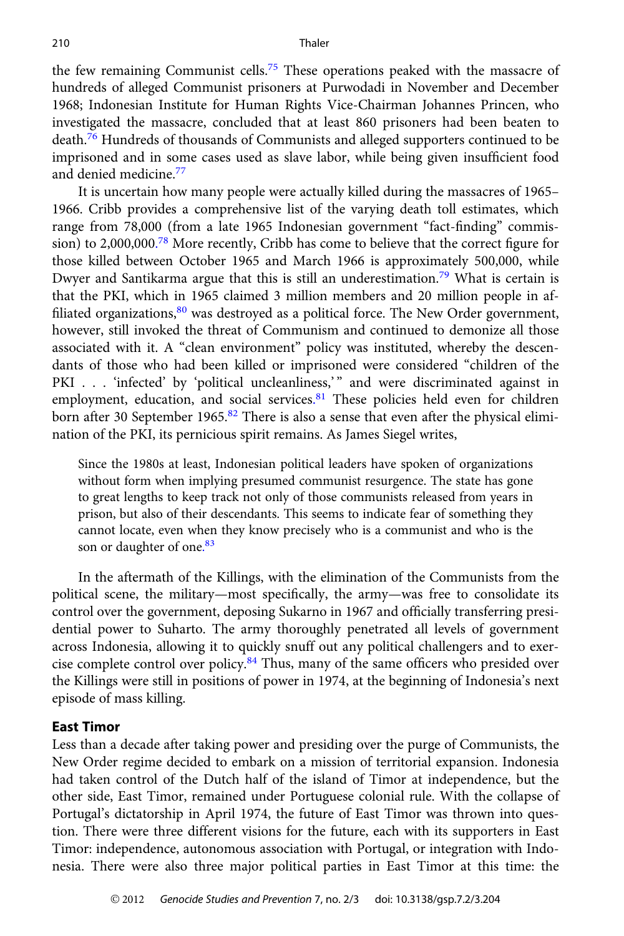<span id="page-7-0"></span>the few remaining Communist cells.<sup>[75](#page-17-0)</sup> These operations peaked with the massacre of hundreds of alleged Communist prisoners at Purwodadi in November and December 1968; Indonesian Institute for Human Rights Vice-Chairman Johannes Princen, who investigated the massacre, concluded that at least 860 prisoners had been beaten to death.[76](#page-17-0) Hundreds of thousands of Communists and alleged supporters continued to be imprisoned and in some cases used as slave labor, while being given insufficient food and denied medicine.[77](#page-17-0)

It is uncertain how many people were actually killed during the massacres of 1965– 1966. Cribb provides a comprehensive list of the varying death toll estimates, which range from 78,000 (from a late 1965 Indonesian government "fact-finding" commission) to 2,000,000. [78](#page-17-0) More recently, Cribb has come to believe that the correct figure for those killed between October 1965 and March 1966 is approximately 500,000, while Dwyer and Santikarma argue that this is still an underestimation.<sup>[79](#page-17-0)</sup> What is certain is that the PKI, which in 1965 claimed 3 million members and 20 million people in affiliated organizations, $80$  was destroyed as a political force. The New Order government, however, still invoked the threat of Communism and continued to demonize all those associated with it. A "clean environment" policy was instituted, whereby the descendants of those who had been killed or imprisoned were considered "children of the PKI . . . 'infected' by 'political uncleanliness,'" and were discriminated against in employment, education, and social services.<sup>[81](#page-17-0)</sup> These policies held even for children born after 30 September 1965.<sup>[82](#page-17-0)</sup> There is also a sense that even after the physical elimination of the PKI, its pernicious spirit remains. As James Siegel writes,

Since the 1980s at least, Indonesian political leaders have spoken of organizations without form when implying presumed communist resurgence. The state has gone to great lengths to keep track not only of those communists released from years in prison, but also of their descendants. This seems to indicate fear of something they cannot locate, even when they know precisely who is a communist and who is the son or daughter of one.<sup>[83](#page-17-0)</sup>

In the aftermath of the Killings, with the elimination of the Communists from the political scene, the military—most specifically, the army—was free to consolidate its control over the government, deposing Sukarno in 1967 and officially transferring presidential power to Suharto. The army thoroughly penetrated all levels of government across Indonesia, allowing it to quickly snuff out any political challengers and to exer-cise complete control over policy.<sup>[84](#page-17-0)</sup> Thus, many of the same officers who presided over the Killings were still in positions of power in 1974, at the beginning of Indonesia's next episode of mass killing.

#### East Timor

Less than a decade after taking power and presiding over the purge of Communists, the New Order regime decided to embark on a mission of territorial expansion. Indonesia had taken control of the Dutch half of the island of Timor at independence, but the other side, East Timor, remained under Portuguese colonial rule. With the collapse of Portugal's dictatorship in April 1974, the future of East Timor was thrown into question. There were three different visions for the future, each with its supporters in East Timor: independence, autonomous association with Portugal, or integration with Indonesia. There were also three major political parties in East Timor at this time: the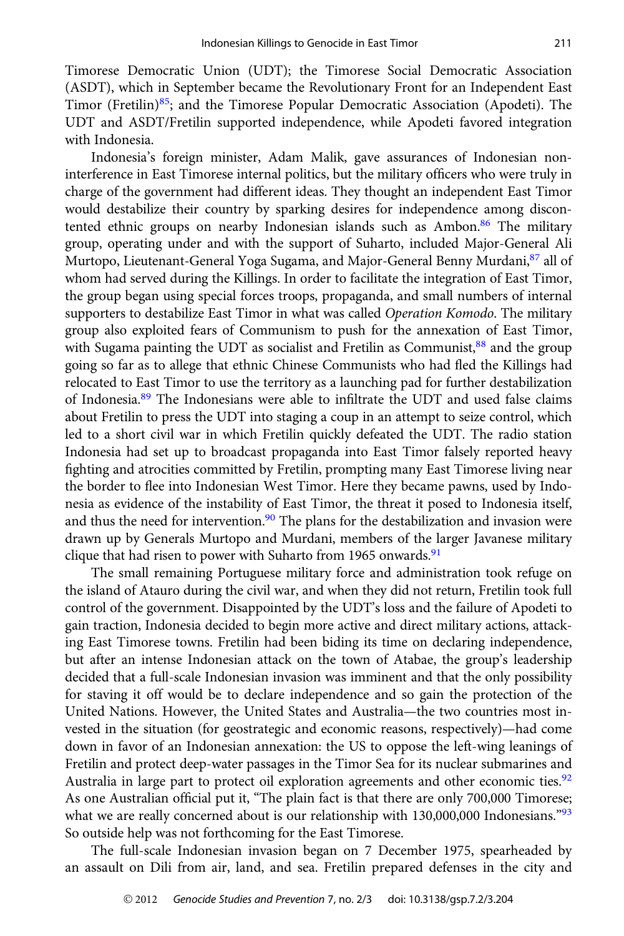<span id="page-8-0"></span>Timorese Democratic Union (UDT); the Timorese Social Democratic Association (ASDT), which in September became the Revolutionary Front for an Independent East Timor (Fretilin) $85$ ; and the Timorese Popular Democratic Association (Apodeti). The UDT and ASDT/Fretilin supported independence, while Apodeti favored integration with Indonesia.

Indonesia's foreign minister, Adam Malik, gave assurances of Indonesian noninterference in East Timorese internal politics, but the military officers who were truly in charge of the government had different ideas. They thought an independent East Timor would destabilize their country by sparking desires for independence among discontented ethnic groups on nearby Indonesian islands such as Ambon.<sup>86</sup> The military group, operating under and with the support of Suharto, included Major-General Ali Murtopo, Lieutenant-General Yoga Sugama, and Major-General Benny Murdani, <sup>87</sup> all of whom had served during the Killings. In order to facilitate the integration of East Timor, the group began using special forces troops, propaganda, and small numbers of internal supporters to destabilize East Timor in what was called Operation Komodo. The military group also exploited fears of Communism to push for the annexation of East Timor, with Sugama painting the UDT as socialist and Fretilin as Communist, $88$  and the group going so far as to allege that ethnic Chinese Communists who had fled the Killings had relocated to East Timor to use the territory as a launching pad for further destabilization of Indonesia[.89](#page-17-0) The Indonesians were able to infiltrate the UDT and used false claims about Fretilin to press the UDT into staging a coup in an attempt to seize control, which led to a short civil war in which Fretilin quickly defeated the UDT. The radio station Indonesia had set up to broadcast propaganda into East Timor falsely reported heavy fighting and atrocities committed by Fretilin, prompting many East Timorese living near the border to flee into Indonesian West Timor. Here they became pawns, used by Indonesia as evidence of the instability of East Timor, the threat it posed to Indonesia itself, and thus the need for intervention. $90$  The plans for the destabilization and invasion were drawn up by Generals Murtopo and Murdani, members of the larger Javanese military clique that had risen to power with Suharto from 1965 onwards.<sup>91</sup>

The small remaining Portuguese military force and administration took refuge on the island of Atauro during the civil war, and when they did not return, Fretilin took full control of the government. Disappointed by the UDT's loss and the failure of Apodeti to gain traction, Indonesia decided to begin more active and direct military actions, attacking East Timorese towns. Fretilin had been biding its time on declaring independence, but after an intense Indonesian attack on the town of Atabae, the group's leadership decided that a full-scale Indonesian invasion was imminent and that the only possibility for staving it off would be to declare independence and so gain the protection of the United Nations. However, the United States and Australia—the two countries most invested in the situation (for geostrategic and economic reasons, respectively)—had come down in favor of an Indonesian annexation: the US to oppose the left-wing leanings of Fretilin and protect deep-water passages in the Timor Sea for its nuclear submarines and Australia in large part to protect oil exploration agreements and other economic ties.<sup>[92](#page-17-0)</sup> As one Australian official put it, "The plain fact is that there are only 700,000 Timorese; what we are really concerned about is our relationship with  $130,000,000$  Indonesians.<sup>"[93](#page-17-0)</sup> So outside help was not forthcoming for the East Timorese.

The full-scale Indonesian invasion began on 7 December 1975, spearheaded by an assault on Dili from air, land, and sea. Fretilin prepared defenses in the city and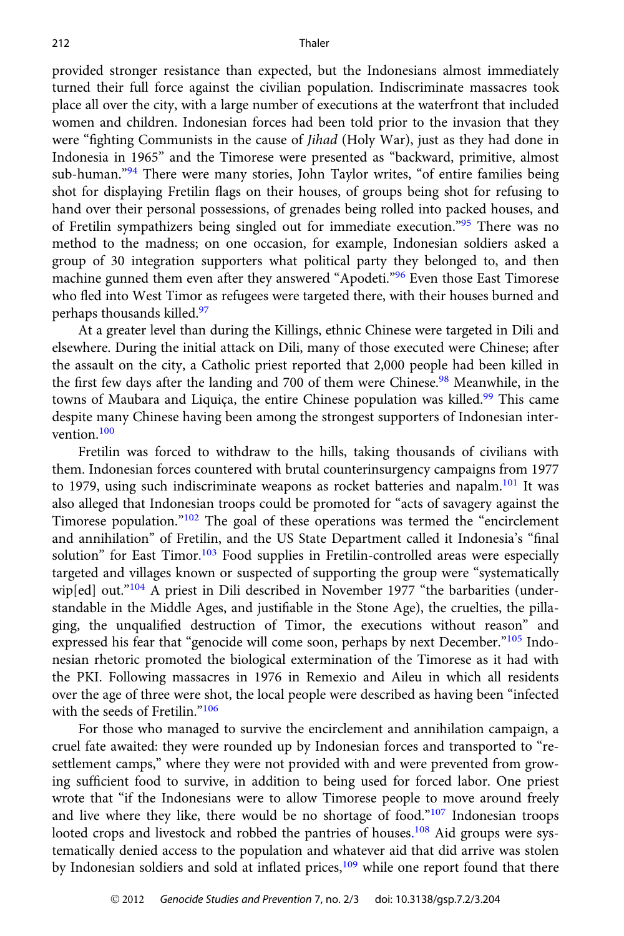<span id="page-9-0"></span>provided stronger resistance than expected, but the Indonesians almost immediately turned their full force against the civilian population. Indiscriminate massacres took place all over the city, with a large number of executions at the waterfront that included women and children. Indonesian forces had been told prior to the invasion that they were "fighting Communists in the cause of *Jihad* (Holy War), just as they had done in Indonesia in 1965" and the Timorese were presented as "backward, primitive, almost sub-human."<sup>[94](#page-17-0)</sup> There were many stories, John Taylor writes, "of entire families being shot for displaying Fretilin flags on their houses, of groups being shot for refusing to hand over their personal possessions, of grenades being rolled into packed houses, and of Fretilin sympathizers being singled out for immediate execution."[95](#page-17-0) There was no method to the madness; on one occasion, for example, Indonesian soldiers asked a group of 30 integration supporters what political party they belonged to, and then machine gunned them even after they answered "Apodeti."<sup>[96](#page-17-0)</sup> Even those East Timorese who fled into West Timor as refugees were targeted there, with their houses burned and perhaps thousands killed.<sup>97</sup>

At a greater level than during the Killings, ethnic Chinese were targeted in Dili and elsewhere. During the initial attack on Dili, many of those executed were Chinese; after the assault on the city, a Catholic priest reported that 2,000 people had been killed in the first few days after the landing and 700 of them were Chinese.<sup>[98](#page-17-0)</sup> Meanwhile, in the towns of Maubara and Liquiça, the entire Chinese population was killed.<sup>99</sup> This came despite many Chinese having been among the strongest supporters of Indonesian intervention.[100](#page-17-0)

Fretilin was forced to withdraw to the hills, taking thousands of civilians with them. Indonesian forces countered with brutal counterinsurgency campaigns from 1977 to 1979, using such indiscriminate weapons as rocket batteries and napalm.<sup>[101](#page-17-0)</sup> It was also alleged that Indonesian troops could be promoted for "acts of savagery against the Timorese population."<sup>[102](#page-17-0)</sup> The goal of these operations was termed the "encirclement and annihilation" of Fretilin, and the US State Department called it Indonesia's "final solution" for East Timor.<sup>[103](#page-17-0)</sup> Food supplies in Fretilin-controlled areas were especially targeted and villages known or suspected of supporting the group were "systematically wip[ed] out." $104$  A priest in Dili described in November 1977 "the barbarities (understandable in the Middle Ages, and justifiable in the Stone Age), the cruelties, the pillaging, the unqualified destruction of Timor, the executions without reason" and expressed his fear that "genocide will come soon, perhaps by next December."<sup>[105](#page-17-0)</sup> Indonesian rhetoric promoted the biological extermination of the Timorese as it had with the PKI. Following massacres in 1976 in Remexio and Aileu in which all residents over the age of three were shot, the local people were described as having been "infected with the seeds of Fretilin."<sup>[106](#page-18-0)</sup>

For those who managed to survive the encirclement and annihilation campaign, a cruel fate awaited: they were rounded up by Indonesian forces and transported to "resettlement camps," where they were not provided with and were prevented from growing sufficient food to survive, in addition to being used for forced labor. One priest wrote that "if the Indonesians were to allow Timorese people to move around freely and live where they like, there would be no shortage of food." $107$  Indonesian troops looted crops and livestock and robbed the pantries of houses.<sup>[108](#page-18-0)</sup> Aid groups were systematically denied access to the population and whatever aid that did arrive was stolen by Indonesian soldiers and sold at inflated prices,<sup>[109](#page-18-0)</sup> while one report found that there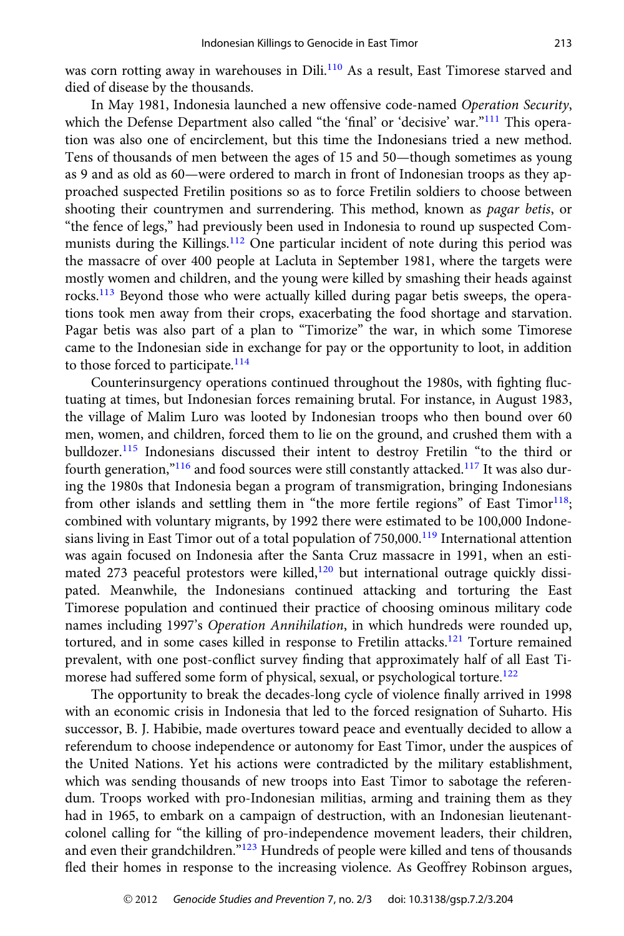<span id="page-10-0"></span>was corn rotting away in warehouses in Dili.<sup>[110](#page-18-0)</sup> As a result, East Timorese starved and died of disease by the thousands.

In May 1981, Indonesia launched a new offensive code-named Operation Security, which the Defense Department also called "the 'final' or 'decisive' war."<sup>[111](#page-18-0)</sup> This operation was also one of encirclement, but this time the Indonesians tried a new method. Tens of thousands of men between the ages of 15 and 50—though sometimes as young as 9 and as old as 60—were ordered to march in front of Indonesian troops as they approached suspected Fretilin positions so as to force Fretilin soldiers to choose between shooting their countrymen and surrendering. This method, known as *pagar betis*, or "the fence of legs," had previously been used in Indonesia to round up suspected Com-munists during the Killings.<sup>[112](#page-18-0)</sup> One particular incident of note during this period was the massacre of over 400 people at Lacluta in September 1981, where the targets were mostly women and children, and the young were killed by smashing their heads against rocks.[113](#page-18-0) Beyond those who were actually killed during pagar betis sweeps, the operations took men away from their crops, exacerbating the food shortage and starvation. Pagar betis was also part of a plan to "Timorize" the war, in which some Timorese came to the Indonesian side in exchange for pay or the opportunity to loot, in addition to those forced to participate.<sup>[114](#page-18-0)</sup>

Counterinsurgency operations continued throughout the 1980s, with fighting fluctuating at times, but Indonesian forces remaining brutal. For instance, in August 1983, the village of Malim Luro was looted by Indonesian troops who then bound over 60 men, women, and children, forced them to lie on the ground, and crushed them with a bulldozer.[115](#page-18-0) Indonesians discussed their intent to destroy Fretilin "to the third or fourth generation,"<sup>[116](#page-18-0)</sup> and food sources were still constantly attacked.<sup>[117](#page-18-0)</sup> It was also during the 1980s that Indonesia began a program of transmigration, bringing Indonesians from other islands and settling them in "the more fertile regions" of East Timor $118$ ; combined with voluntary migrants, by 1992 there were estimated to be 100,000 Indone-sians living in East Timor out of a total population of 750,000.<sup>[119](#page-18-0)</sup> International attention was again focused on Indonesia after the Santa Cruz massacre in 1991, when an esti-mated 273 peaceful protestors were killed,<sup>[120](#page-18-0)</sup> but international outrage quickly dissipated. Meanwhile, the Indonesians continued attacking and torturing the East Timorese population and continued their practice of choosing ominous military code names including 1997's Operation Annihilation, in which hundreds were rounded up, tortured, and in some cases killed in response to Fretilin attacks.<sup>[121](#page-18-0)</sup> Torture remained prevalent, with one post-conflict survey finding that approximately half of all East Ti-morese had suffered some form of physical, sexual, or psychological torture.<sup>[122](#page-18-0)</sup>

The opportunity to break the decades-long cycle of violence finally arrived in 1998 with an economic crisis in Indonesia that led to the forced resignation of Suharto. His successor, B. J. Habibie, made overtures toward peace and eventually decided to allow a referendum to choose independence or autonomy for East Timor, under the auspices of the United Nations. Yet his actions were contradicted by the military establishment, which was sending thousands of new troops into East Timor to sabotage the referendum. Troops worked with pro-Indonesian militias, arming and training them as they had in 1965, to embark on a campaign of destruction, with an Indonesian lieutenantcolonel calling for "the killing of pro-independence movement leaders, their children, and even their grandchildren."<sup>[123](#page-18-0)</sup> Hundreds of people were killed and tens of thousands fled their homes in response to the increasing violence. As Geoffrey Robinson argues,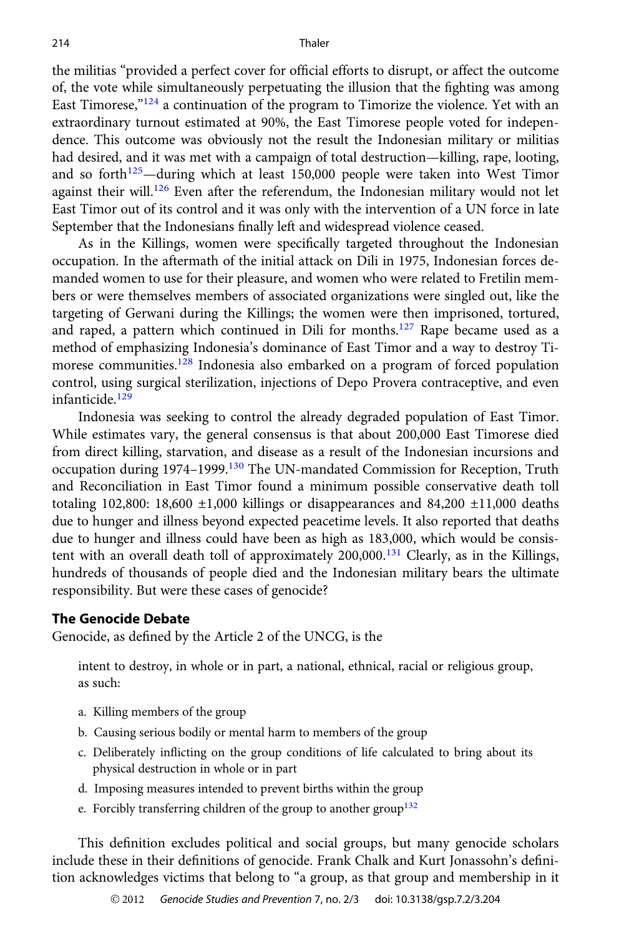<span id="page-11-0"></span>the militias "provided a perfect cover for official efforts to disrupt, or affect the outcome of, the vote while simultaneously perpetuating the illusion that the fighting was among East Timorese, $124$  a continuation of the program to Timorize the violence. Yet with an extraordinary turnout estimated at 90%, the East Timorese people voted for independence. This outcome was obviously not the result the Indonesian military or militias had desired, and it was met with a campaign of total destruction—killing, rape, looting, and so forth $125$ —during which at least 150,000 people were taken into West Timor against their will.<sup>[126](#page-18-0)</sup> Even after the referendum, the Indonesian military would not let East Timor out of its control and it was only with the intervention of a UN force in late September that the Indonesians finally left and widespread violence ceased.

As in the Killings, women were specifically targeted throughout the Indonesian occupation. In the aftermath of the initial attack on Dili in 1975, Indonesian forces demanded women to use for their pleasure, and women who were related to Fretilin members or were themselves members of associated organizations were singled out, like the targeting of Gerwani during the Killings; the women were then imprisoned, tortured, and raped, a pattern which continued in Dili for months.<sup>[127](#page-18-0)</sup> Rape became used as a method of emphasizing Indonesia's dominance of East Timor and a way to destroy Ti-morese communities.<sup>[128](#page-18-0)</sup> Indonesia also embarked on a program of forced population control, using surgical sterilization, injections of Depo Provera contraceptive, and even infanticide.<sup>[129](#page-18-0)</sup>

Indonesia was seeking to control the already degraded population of East Timor. While estimates vary, the general consensus is that about 200,000 East Timorese died from direct killing, starvation, and disease as a result of the Indonesian incursions and occupation during 1974–1999.[130](#page-18-0) The UN-mandated Commission for Reception, Truth and Reconciliation in East Timor found a minimum possible conservative death toll totaling 102,800: 18,600  $\pm 1,000$  killings or disappearances and 84,200  $\pm 11,000$  deaths due to hunger and illness beyond expected peacetime levels. It also reported that deaths due to hunger and illness could have been as high as 183,000, which would be consistent with an overall death toll of approximately  $200,000$ .<sup>[131](#page-18-0)</sup> Clearly, as in the Killings, hundreds of thousands of people died and the Indonesian military bears the ultimate responsibility. But were these cases of genocide?

#### The Genocide Debate

Genocide, as defined by the Article 2 of the UNCG, is the

intent to destroy, in whole or in part, a national, ethnical, racial or religious group, as such:

- a. Killing members of the group
- b. Causing serious bodily or mental harm to members of the group
- c. Deliberately inflicting on the group conditions of life calculated to bring about its physical destruction in whole or in part
- d. Imposing measures intended to prevent births within the group
- e. Forcibly transferring children of the group to another group<sup>[132](#page-18-0)</sup>

This definition excludes political and social groups, but many genocide scholars include these in their definitions of genocide. Frank Chalk and Kurt Jonassohn's definition acknowledges victims that belong to "a group, as that group and membership in it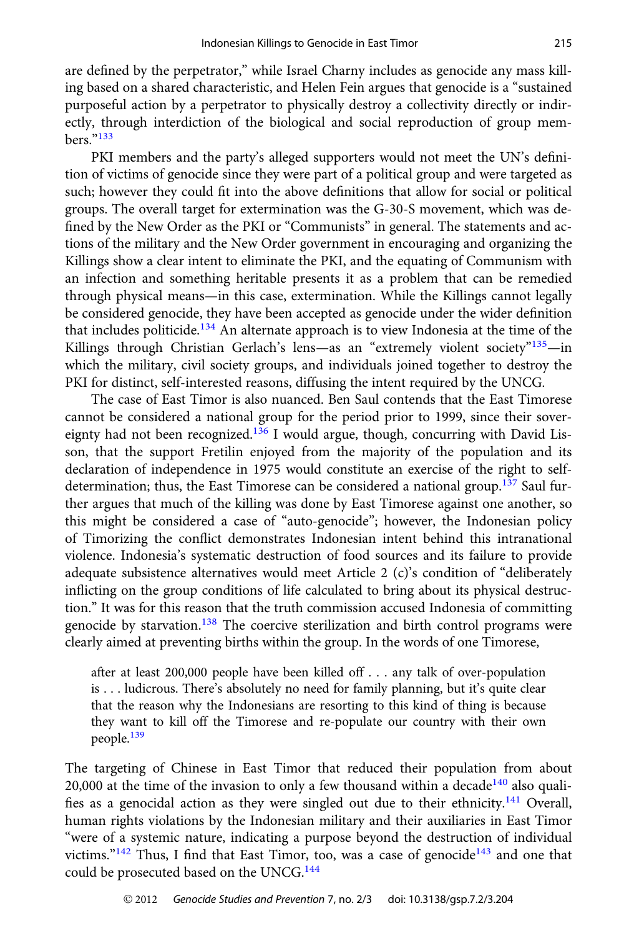<span id="page-12-0"></span>are defined by the perpetrator," while Israel Charny includes as genocide any mass killing based on a shared characteristic, and Helen Fein argues that genocide is a "sustained purposeful action by a perpetrator to physically destroy a collectivity directly or indirectly, through interdiction of the biological and social reproduction of group members."[133](#page-18-0)

PKI members and the party's alleged supporters would not meet the UN's definition of victims of genocide since they were part of a political group and were targeted as such; however they could fit into the above definitions that allow for social or political groups. The overall target for extermination was the G-30-S movement, which was defined by the New Order as the PKI or "Communists" in general. The statements and actions of the military and the New Order government in encouraging and organizing the Killings show a clear intent to eliminate the PKI, and the equating of Communism with an infection and something heritable presents it as a problem that can be remedied through physical means—in this case, extermination. While the Killings cannot legally be considered genocide, they have been accepted as genocide under the wider definition that includes politicide.<sup>[134](#page-18-0)</sup> An alternate approach is to view Indonesia at the time of the Killings through Christian Gerlach's lens—as an "extremely violent society"<sup>[135](#page-18-0)</sup>—in which the military, civil society groups, and individuals joined together to destroy the PKI for distinct, self-interested reasons, diffusing the intent required by the UNCG.

The case of East Timor is also nuanced. Ben Saul contends that the East Timorese cannot be considered a national group for the period prior to 1999, since their sover-eignty had not been recognized.<sup>[136](#page-18-0)</sup> I would argue, though, concurring with David Lisson, that the support Fretilin enjoyed from the majority of the population and its declaration of independence in 1975 would constitute an exercise of the right to self-determination; thus, the East Timorese can be considered a national group.<sup>[137](#page-18-0)</sup> Saul further argues that much of the killing was done by East Timorese against one another, so this might be considered a case of "auto-genocide"; however, the Indonesian policy of Timorizing the conflict demonstrates Indonesian intent behind this intranational violence. Indonesia's systematic destruction of food sources and its failure to provide adequate subsistence alternatives would meet Article 2 (c)'s condition of "deliberately inflicting on the group conditions of life calculated to bring about its physical destruction." It was for this reason that the truth commission accused Indonesia of committing genocide by starvation.<sup>[138](#page-18-0)</sup> The coercive sterilization and birth control programs were clearly aimed at preventing births within the group. In the words of one Timorese,

after at least 200,000 people have been killed off . . . any talk of over-population is . . . ludicrous. There's absolutely no need for family planning, but it's quite clear that the reason why the Indonesians are resorting to this kind of thing is because they want to kill off the Timorese and re-populate our country with their own people.[139](#page-19-0)

The targeting of Chinese in East Timor that reduced their population from about 20,000 at the time of the invasion to only a few thousand within a decade $140$  also quali-fies as a genocidal action as they were singled out due to their ethnicity.<sup>[141](#page-19-0)</sup> Overall, human rights violations by the Indonesian military and their auxiliaries in East Timor "were of a systemic nature, indicating a purpose beyond the destruction of individual victims." $142$  Thus, I find that East Timor, too, was a case of genocide $143$  and one that could be prosecuted based on the UNCG.<sup>[144](#page-19-0)</sup>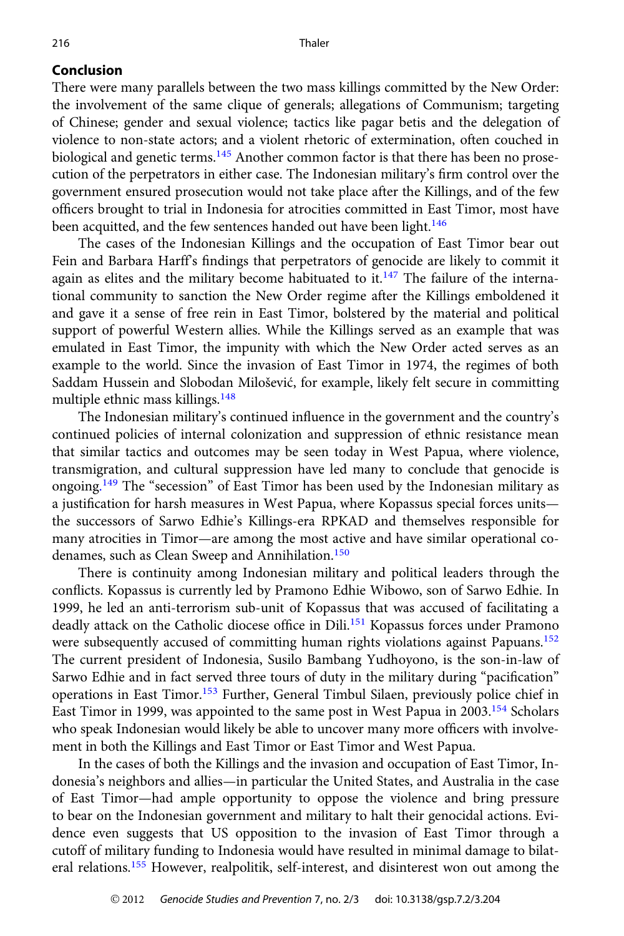#### <span id="page-13-0"></span>Conclusion

There were many parallels between the two mass killings committed by the New Order: the involvement of the same clique of generals; allegations of Communism; targeting of Chinese; gender and sexual violence; tactics like pagar betis and the delegation of violence to non-state actors; and a violent rhetoric of extermination, often couched in biological and genetic terms.<sup>[145](#page-19-0)</sup> Another common factor is that there has been no prosecution of the perpetrators in either case. The Indonesian military's firm control over the government ensured prosecution would not take place after the Killings, and of the few officers brought to trial in Indonesia for atrocities committed in East Timor, most have been acquitted, and the few sentences handed out have been light.<sup>[146](#page-19-0)</sup>

The cases of the Indonesian Killings and the occupation of East Timor bear out Fein and Barbara Harff's findings that perpetrators of genocide are likely to commit it again as elites and the military become habituated to it.<sup>[147](#page-19-0)</sup> The failure of the international community to sanction the New Order regime after the Killings emboldened it and gave it a sense of free rein in East Timor, bolstered by the material and political support of powerful Western allies. While the Killings served as an example that was emulated in East Timor, the impunity with which the New Order acted serves as an example to the world. Since the invasion of East Timor in 1974, the regimes of both Saddam Hussein and Slobodan Milošević, for example, likely felt secure in committing multiple ethnic mass killings.[148](#page-19-0)

The Indonesian military's continued influence in the government and the country's continued policies of internal colonization and suppression of ethnic resistance mean that similar tactics and outcomes may be seen today in West Papua, where violence, transmigration, and cultural suppression have led many to conclude that genocide is ongoing.<sup>[149](#page-19-0)</sup> The "secession" of East Timor has been used by the Indonesian military as a justification for harsh measures in West Papua, where Kopassus special forces units the successors of Sarwo Edhie's Killings-era RPKAD and themselves responsible for many atrocities in Timor—are among the most active and have similar operational co-denames, such as Clean Sweep and Annihilation.<sup>[150](#page-19-0)</sup>

There is continuity among Indonesian military and political leaders through the conflicts. Kopassus is currently led by Pramono Edhie Wibowo, son of Sarwo Edhie. In 1999, he led an anti-terrorism sub-unit of Kopassus that was accused of facilitating a deadly attack on the Catholic diocese office in Dili.<sup>[151](#page-19-0)</sup> Kopassus forces under Pramono were subsequently accused of committing human rights violations against Papuans.<sup>[152](#page-19-0)</sup> The current president of Indonesia, Susilo Bambang Yudhoyono, is the son-in-law of Sarwo Edhie and in fact served three tours of duty in the military during "pacification" operations in East Timor[.153](#page-19-0) Further, General Timbul Silaen, previously police chief in East Timor in 1999, was appointed to the same post in West Papua in 2003.[154](#page-19-0) Scholars who speak Indonesian would likely be able to uncover many more officers with involvement in both the Killings and East Timor or East Timor and West Papua.

In the cases of both the Killings and the invasion and occupation of East Timor, Indonesia's neighbors and allies—in particular the United States, and Australia in the case of East Timor—had ample opportunity to oppose the violence and bring pressure to bear on the Indonesian government and military to halt their genocidal actions. Evidence even suggests that US opposition to the invasion of East Timor through a cutoff of military funding to Indonesia would have resulted in minimal damage to bilateral relations.[155](#page-19-0) However, realpolitik, self-interest, and disinterest won out among the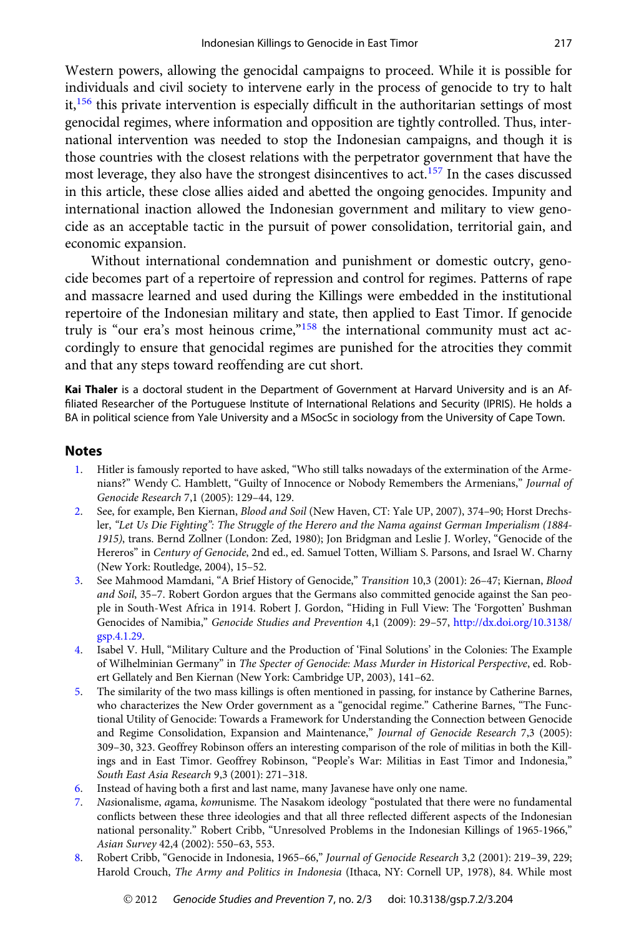<span id="page-14-0"></span>Western powers, allowing the genocidal campaigns to proceed. While it is possible for individuals and civil society to intervene early in the process of genocide to try to halt it,<sup>[156](#page-19-0)</sup> this private intervention is especially difficult in the authoritarian settings of most genocidal regimes, where information and opposition are tightly controlled. Thus, international intervention was needed to stop the Indonesian campaigns, and though it is those countries with the closest relations with the perpetrator government that have the most leverage, they also have the strongest disincentives to act.<sup>[157](#page-19-0)</sup> In the cases discussed in this article, these close allies aided and abetted the ongoing genocides. Impunity and international inaction allowed the Indonesian government and military to view genocide as an acceptable tactic in the pursuit of power consolidation, territorial gain, and economic expansion.

Without international condemnation and punishment or domestic outcry, genocide becomes part of a repertoire of repression and control for regimes. Patterns of rape and massacre learned and used during the Killings were embedded in the institutional repertoire of the Indonesian military and state, then applied to East Timor. If genocide truly is "our era's most heinous crime,"[158](#page-19-0) the international community must act accordingly to ensure that genocidal regimes are punished for the atrocities they commit and that any steps toward reoffending are cut short.

Kai Thaler is a doctoral student in the Department of Government at Harvard University and is an Affiliated Researcher of the Portuguese Institute of International Relations and Security (IPRIS). He holds a BA in political science from Yale University and a MSocSc in sociology from the University of Cape Town.

#### **Notes**

- [1](#page-1-0). Hitler is famously reported to have asked, "Who still talks nowadays of the extermination of the Armenians?" Wendy C. Hamblett, "Guilty of Innocence or Nobody Remembers the Armenians," Journal of Genocide Research 7,1 (2005): 129–44, 129.
- [2](#page-1-0). See, for example, Ben Kiernan, Blood and Soil (New Haven, CT: Yale UP, 2007), 374–90; Horst Drechsler, "Let Us Die Fighting": The Struggle of the Herero and the Nama against German Imperialism (1884- 1915), trans. Bernd Zollner (London: Zed, 1980); Jon Bridgman and Leslie J. Worley, "Genocide of the Hereros" in Century of Genocide, 2nd ed., ed. Samuel Totten, William S. Parsons, and Israel W. Charny (New York: Routledge, 2004), 15–52.
- [3](#page-1-0). See Mahmood Mamdani, "A Brief History of Genocide," Transition 10,3 (2001): 26–47; Kiernan, Blood and Soil, 35–7. Robert Gordon argues that the Germans also committed genocide against the San people in South-West Africa in 1914. Robert J. Gordon, "Hiding in Full View: The 'Forgotten' Bushman Genocides of Namibia," Genocide Studies and Prevention 4,1 (2009): 29–57, [http://dx.doi.org/10.3138/](http://dx.doi.org/10.3138/gsp.4.1.29) [gsp.4.1.29](http://dx.doi.org/10.3138/gsp.4.1.29).
- [4.](#page-1-0) Isabel V. Hull, "Military Culture and the Production of 'Final Solutions' in the Colonies: The Example of Wilhelminian Germany" in The Specter of Genocide: Mass Murder in Historical Perspective, ed. Robert Gellately and Ben Kiernan (New York: Cambridge UP, 2003), 141–62.
- [5.](#page-2-0) The similarity of the two mass killings is often mentioned in passing, for instance by Catherine Barnes, who characterizes the New Order government as a "genocidal regime." Catherine Barnes, "The Functional Utility of Genocide: Towards a Framework for Understanding the Connection between Genocide and Regime Consolidation, Expansion and Maintenance," Journal of Genocide Research 7,3 (2005): 309–30, 323. Geoffrey Robinson offers an interesting comparison of the role of militias in both the Killings and in East Timor. Geoffrey Robinson, "People's War: Militias in East Timor and Indonesia," South East Asia Research 9,3 (2001): 271–318.
- [6.](#page-2-0) Instead of having both a first and last name, many Javanese have only one name.
- [7.](#page-2-0) Nasionalisme, agama, komunisme. The Nasakom ideology "postulated that there were no fundamental conflicts between these three ideologies and that all three reflected different aspects of the Indonesian national personality." Robert Cribb, "Unresolved Problems in the Indonesian Killings of 1965-1966," Asian Survey 42,4 (2002): 550–63, 553.
- [8.](#page-2-0) Robert Cribb, "Genocide in Indonesia, 1965–66," Journal of Genocide Research 3,2 (2001): 219–39, 229; Harold Crouch, The Army and Politics in Indonesia (Ithaca, NY: Cornell UP, 1978), 84. While most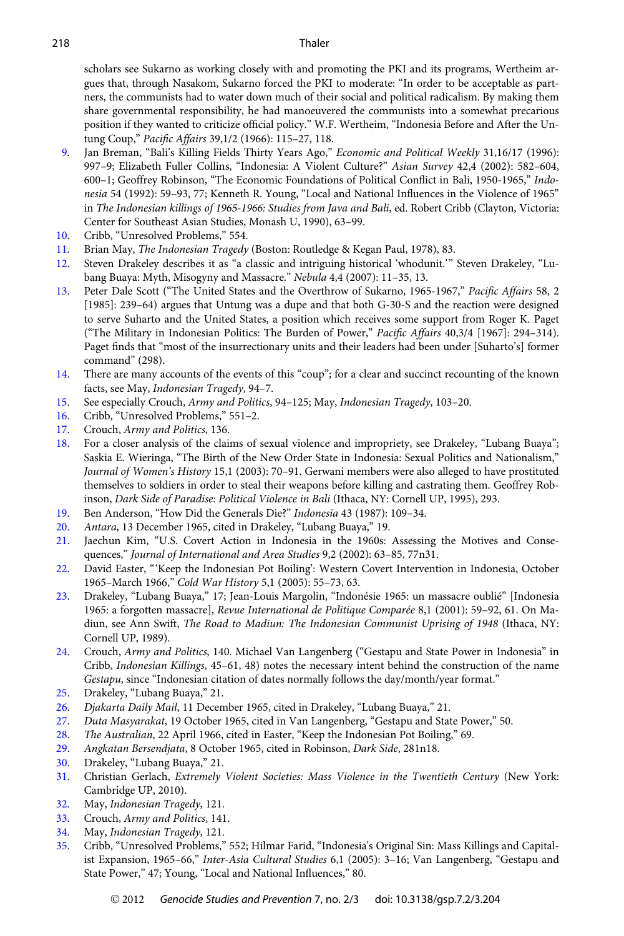<span id="page-15-0"></span>scholars see Sukarno as working closely with and promoting the PKI and its programs, Wertheim argues that, through Nasakom, Sukarno forced the PKI to moderate: "In order to be acceptable as partners, the communists had to water down much of their social and political radicalism. By making them share governmental responsibility, he had manoeuvered the communists into a somewhat precarious position if they wanted to criticize official policy." W.F. Wertheim, "Indonesia Before and After the Untung Coup," Pacific Affairs 39,1/2 (1966): 115–27, 118.

- [9.](#page-2-0) Jan Breman, "Bali's Killing Fields Thirty Years Ago," Economic and Political Weekly 31,16/17 (1996): 997–9; Elizabeth Fuller Collins, "Indonesia: A Violent Culture?" Asian Survey 42,4 (2002): 582–604, 600–1; Geoffrey Robinson, "The Economic Foundations of Political Conflict in Bali, 1950-1965," Indonesia 54 (1992): 59–93, 77; Kenneth R. Young, "Local and National Influences in the Violence of 1965" in The Indonesian killings of 1965-1966: Studies from Java and Bali, ed. Robert Cribb (Clayton, Victoria: Center for Southeast Asian Studies, Monash U, 1990), 63–99.
- [10.](#page-2-0) Cribb, "Unresolved Problems," 554.
- [11](#page-2-0). Brian May, The Indonesian Tragedy (Boston: Routledge & Kegan Paul, 1978), 83.
- [12](#page-2-0). Steven Drakeley describes it as "a classic and intriguing historical 'whodunit.'" Steven Drakeley, "Lubang Buaya: Myth, Misogyny and Massacre." Nebula 4,4 (2007): 11–35, 13.
- [13](#page-2-0). Peter Dale Scott ("The United States and the Overthrow of Sukarno, 1965-1967," Pacific Affairs 58, 2 [1985]: 239–64) argues that Untung was a dupe and that both G-30-S and the reaction were designed to serve Suharto and the United States, a position which receives some support from Roger K. Paget ("The Military in Indonesian Politics: The Burden of Power," Pacific Affairs 40,3/4 [1967]: 294–314). Paget finds that "most of the insurrectionary units and their leaders had been under [Suharto's] former command" (298).
- [14](#page-3-0). There are many accounts of the events of this "coup"; for a clear and succinct recounting of the known facts, see May, Indonesian Tragedy, 94–7.
- [15](#page-3-0). See especially Crouch, Army and Politics, 94–125; May, Indonesian Tragedy, 103–20.
- [16.](#page-3-0) Cribb, "Unresolved Problems," 551–2.
- [17](#page-3-0). Crouch, Army and Politics, 136.
- [18.](#page-3-0) For a closer analysis of the claims of sexual violence and impropriety, see Drakeley, "Lubang Buaya"; Saskia E. Wieringa, "The Birth of the New Order State in Indonesia: Sexual Politics and Nationalism," Journal of Women's History 15,1 (2003): 70–91. Gerwani members were also alleged to have prostituted themselves to soldiers in order to steal their weapons before killing and castrating them. Geoffrey Robinson, Dark Side of Paradise: Political Violence in Bali (Ithaca, NY: Cornell UP, 1995), 293.
- [19.](#page-3-0) Ben Anderson, "How Did the Generals Die?" Indonesia 43 (1987): 109–34.
- [20](#page-3-0). Antara, 13 December 1965, cited in Drakeley, "Lubang Buaya," 19.
- [21](#page-3-0). Jaechun Kim, "U.S. Covert Action in Indonesia in the 1960s: Assessing the Motives and Consequences," Journal of International and Area Studies 9,2 (2002): 63–85, 77n31.
- [22.](#page-3-0) David Easter, "'Keep the Indonesian Pot Boiling': Western Covert Intervention in Indonesia, October 1965–March 1966," Cold War History 5,1 (2005): 55–73, 63.
- [23.](#page-3-0) Drakeley, "Lubang Buaya," 17; Jean-Louis Margolin, "Indonésie 1965: un massacre oublié" [Indonesia 1965: a forgotten massacre], Revue International de Politique Comparée 8,1 (2001): 59–92, 61. On Madiun, see Ann Swift, The Road to Madiun: The Indonesian Communist Uprising of 1948 (Ithaca, NY: Cornell UP, 1989).
- [24](#page-3-0). Crouch, Army and Politics, 140. Michael Van Langenberg ("Gestapu and State Power in Indonesia" in Cribb, Indonesian Killings, 45–61, 48) notes the necessary intent behind the construction of the name Gestapu, since "Indonesian citation of dates normally follows the day/month/year format."
- [25](#page-3-0). Drakeley, "Lubang Buaya," 21.
- [26](#page-3-0). Djakarta Daily Mail, 11 December 1965, cited in Drakeley, "Lubang Buaya," 21.
- [27](#page-3-0). Duta Masyarakat, 19 October 1965, cited in Van Langenberg, "Gestapu and State Power," 50.
- [28.](#page-3-0) The Australian, 22 April 1966, cited in Easter, "Keep the Indonesian Pot Boiling," 69.
- [29](#page-4-0). Angkatan Bersendjata, 8 October 1965, cited in Robinson, Dark Side, 281n18.
- [30.](#page-4-0) Drakeley, "Lubang Buaya," 21.
- [31](#page-4-0). Christian Gerlach, Extremely Violent Societies: Mass Violence in the Twentieth Century (New York: Cambridge UP, 2010).
- [32](#page-4-0). May, Indonesian Tragedy, 121.
- [33](#page-4-0). Crouch, Army and Politics, 141.
- [34](#page-4-0). May, Indonesian Tragedy, 121.
- [35](#page-4-0). Cribb, "Unresolved Problems," 552; Hilmar Farid, "Indonesia's Original Sin: Mass Killings and Capitalist Expansion, 1965–66," Inter-Asia Cultural Studies 6,1 (2005): 3–16; Van Langenberg, "Gestapu and State Power," 47; Young, "Local and National Influences," 80.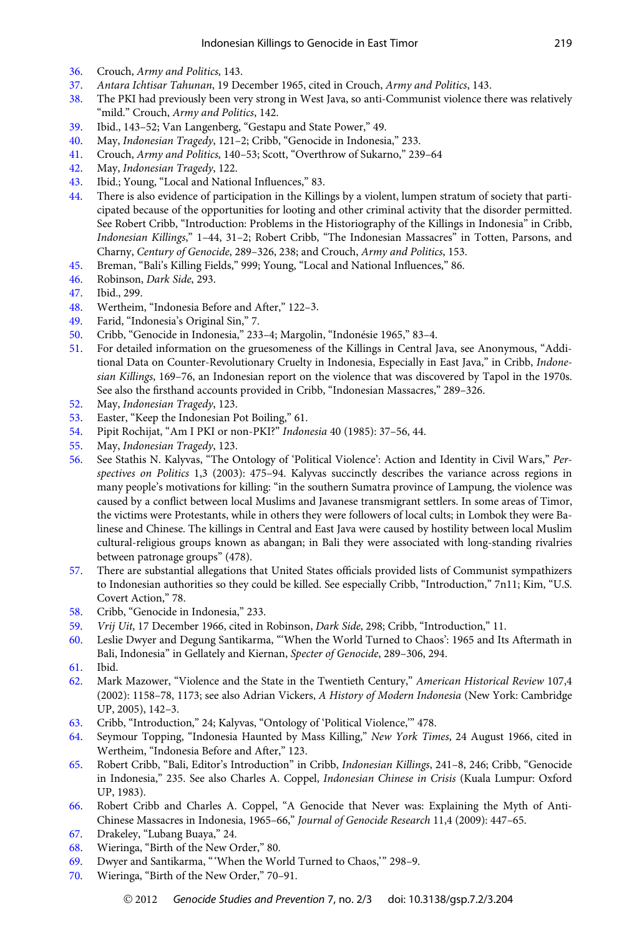- <span id="page-16-0"></span>[36.](#page-4-0) Crouch, Army and Politics, 143.
- [37](#page-4-0). Antara Ichtisar Tahunan, 19 December 1965, cited in Crouch, Army and Politics, 143.
- [38.](#page-4-0) The PKI had previously been very strong in West Java, so anti-Communist violence there was relatively "mild." Crouch, Army and Politics, 142.
- [39.](#page-4-0) Ibid., 143–52; Van Langenberg, "Gestapu and State Power," 49.
- [40.](#page-4-0) May, Indonesian Tragedy, 121–2; Cribb, "Genocide in Indonesia," 233.
- [41.](#page-4-0) Crouch, Army and Politics, 140–53; Scott, "Overthrow of Sukarno," 239–64
- [42.](#page-4-0) May, Indonesian Tragedy, 122.
- [43.](#page-4-0) Ibid.; Young, "Local and National Influences," 83.
- [44.](#page-5-0) There is also evidence of participation in the Killings by a violent, lumpen stratum of society that participated because of the opportunities for looting and other criminal activity that the disorder permitted. See Robert Cribb, "Introduction: Problems in the Historiography of the Killings in Indonesia" in Cribb, Indonesian Killings," 1–44, 31–2; Robert Cribb, "The Indonesian Massacres" in Totten, Parsons, and Charny, Century of Genocide, 289–326, 238; and Crouch, Army and Politics, 153.
- [45.](#page-5-0) Breman, "Bali's Killing Fields," 999; Young, "Local and National Influences," 86.
- [46.](#page-5-0) Robinson, Dark Side, 293.
- [47.](#page-5-0) Ibid., 299.
- [48.](#page-5-0) Wertheim, "Indonesia Before and After," 122–3.
- [49.](#page-5-0) Farid, "Indonesia's Original Sin," 7.
- [50.](#page-5-0) Cribb, "Genocide in Indonesia," 233–4; Margolin, "Indonésie 1965," 83–4.
- [51.](#page-5-0) For detailed information on the gruesomeness of the Killings in Central Java, see Anonymous, "Additional Data on Counter-Revolutionary Cruelty in Indonesia, Especially in East Java," in Cribb, Indonesian Killings, 169–76, an Indonesian report on the violence that was discovered by Tapol in the 1970s. See also the firsthand accounts provided in Cribb, "Indonesian Massacres," 289–326.
- [52.](#page-5-0) May, Indonesian Tragedy, 123.
- [53](#page-5-0). Easter, "Keep the Indonesian Pot Boiling," 61.
- [54.](#page-5-0) Pipit Rochijat, "Am I PKI or non-PKI?" Indonesia 40 (1985): 37–56, 44.
- [55.](#page-5-0) May, Indonesian Tragedy, 123.
- [56.](#page-5-0) See Stathis N. Kalyvas, "The Ontology of 'Political Violence': Action and Identity in Civil Wars," Perspectives on Politics 1,3 (2003): 475–94. Kalyvas succinctly describes the variance across regions in many people's motivations for killing: "in the southern Sumatra province of Lampung, the violence was caused by a conflict between local Muslims and Javanese transmigrant settlers. In some areas of Timor, the victims were Protestants, while in others they were followers of local cults; in Lombok they were Balinese and Chinese. The killings in Central and East Java were caused by hostility between local Muslim cultural-religious groups known as abangan; in Bali they were associated with long-standing rivalries between patronage groups" (478).
- [57.](#page-5-0) There are substantial allegations that United States officials provided lists of Communist sympathizers to Indonesian authorities so they could be killed. See especially Cribb, "Introduction," 7n11; Kim, "U.S. Covert Action," 78.
- [58](#page-5-0). Cribb, "Genocide in Indonesia," 233.
- [59.](#page-6-0) Vrij Uit, 17 December 1966, cited in Robinson, Dark Side, 298; Cribb, "Introduction," 11.
- [60.](#page-6-0) Leslie Dwyer and Degung Santikarma, "'When the World Turned to Chaos': 1965 and Its Aftermath in Bali, Indonesia" in Gellately and Kiernan, Specter of Genocide, 289–306, 294.
- [61](#page-6-0). Ibid.
- [62.](#page-6-0) Mark Mazower, "Violence and the State in the Twentieth Century," American Historical Review 107,4 (2002): 1158–78, 1173; see also Adrian Vickers, A History of Modern Indonesia (New York: Cambridge UP, 2005), 142–3.
- [63.](#page-6-0) Cribb, "Introduction," 24; Kalyvas, "Ontology of 'Political Violence,'" 478.
- [64.](#page-6-0) Seymour Topping, "Indonesia Haunted by Mass Killing," New York Times, 24 August 1966, cited in Wertheim, "Indonesia Before and After," 123.
- [65](#page-6-0). Robert Cribb, "Bali, Editor's Introduction" in Cribb, Indonesian Killings, 241–8, 246; Cribb, "Genocide in Indonesia," 235. See also Charles A. Coppel, Indonesian Chinese in Crisis (Kuala Lumpur: Oxford UP, 1983).
- [66](#page-6-0). Robert Cribb and Charles A. Coppel, "A Genocide that Never was: Explaining the Myth of Anti-Chinese Massacres in Indonesia, 1965–66," Journal of Genocide Research 11,4 (2009): 447–65.
- [67.](#page-6-0) Drakeley, "Lubang Buaya," 24.
- [68.](#page-6-0) Wieringa, "Birth of the New Order," 80.
- [69.](#page-6-0) Dwyer and Santikarma, " 'When the World Turned to Chaos,'" 298–9.
- [70.](#page-6-0) Wieringa, "Birth of the New Order," 70–91.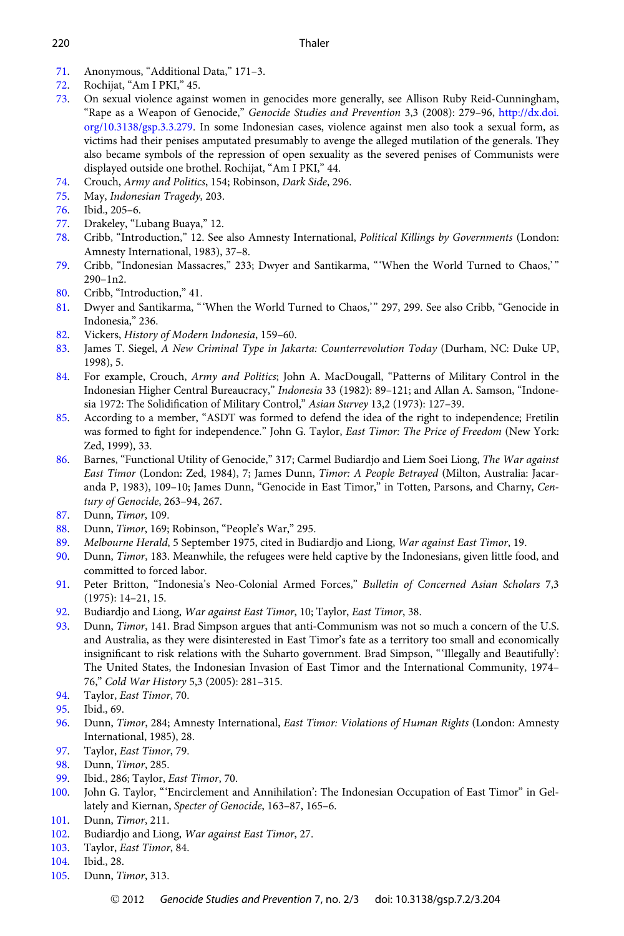#### <span id="page-17-0"></span>220 Thaler

- [71](#page-6-0). Anonymous, "Additional Data," 171–3.
- [72.](#page-6-0) Rochijat, "Am I PKI," 45.
- [73.](#page-6-0) On sexual violence against women in genocides more generally, see Allison Ruby Reid-Cunningham, "Rape as a Weapon of Genocide," Genocide Studies and Prevention 3,3 (2008): 279–96, [http://dx.doi.](http://dx.doi.org/10.3138/gsp.3.3.279) [org/10.3138/gsp.3.3.279](http://dx.doi.org/10.3138/gsp.3.3.279). In some Indonesian cases, violence against men also took a sexual form, as victims had their penises amputated presumably to avenge the alleged mutilation of the generals. They also became symbols of the repression of open sexuality as the severed penises of Communists were displayed outside one brothel. Rochijat, "Am I PKI," 44.
- [74](#page-6-0). Crouch, Army and Politics, 154; Robinson, Dark Side, 296.
- [75](#page-7-0). May, Indonesian Tragedy, 203.
- [76.](#page-7-0) Ibid., 205–6.
- [77.](#page-7-0) Drakeley, "Lubang Buaya," 12.
- [78](#page-7-0). Cribb, "Introduction," 12. See also Amnesty International, Political Killings by Governments (London: Amnesty International, 1983), 37–8.
- [79](#page-7-0). Cribb, "Indonesian Massacres," 233; Dwyer and Santikarma, "'When the World Turned to Chaos,' " 290–1n2.
- [80.](#page-7-0) Cribb, "Introduction," 41.
- [81](#page-7-0). Dwyer and Santikarma, "'When the World Turned to Chaos,'" 297, 299. See also Cribb, "Genocide in Indonesia," 236.
- [82](#page-7-0). Vickers, History of Modern Indonesia, 159–60.
- [83](#page-7-0). James T. Siegel, A New Criminal Type in Jakarta: Counterrevolution Today (Durham, NC: Duke UP, 1998), 5.
- [84.](#page-7-0) For example, Crouch, Army and Politics; John A. MacDougall, "Patterns of Military Control in the Indonesian Higher Central Bureaucracy," Indonesia 33 (1982): 89–121; and Allan A. Samson, "Indonesia 1972: The Solidification of Military Control," Asian Survey 13,2 (1973): 127–39.
- [85.](#page-8-0) According to a member, "ASDT was formed to defend the idea of the right to independence; Fretilin was formed to fight for independence." John G. Taylor, East Timor: The Price of Freedom (New York: Zed, 1999), 33.
- [86.](#page-8-0) Barnes, "Functional Utility of Genocide," 317; Carmel Budiardjo and Liem Soei Liong, The War against East Timor (London: Zed, 1984), 7; James Dunn, Timor: A People Betrayed (Milton, Australia: Jacaranda P, 1983), 109–10; James Dunn, "Genocide in East Timor," in Totten, Parsons, and Charny, Century of Genocide, 263–94, 267.
- [87.](#page-8-0) Dunn, Timor, 109.
- [88](#page-8-0). Dunn, Timor, 169; Robinson, "People's War," 295.
- [89](#page-8-0). Melbourne Herald, 5 September 1975, cited in Budiardjo and Liong, War against East Timor, 19.
- [90](#page-8-0). Dunn, Timor, 183. Meanwhile, the refugees were held captive by the Indonesians, given little food, and committed to forced labor.
- [91](#page-8-0). Peter Britton, "Indonesia's Neo-Colonial Armed Forces," Bulletin of Concerned Asian Scholars 7,3 (1975): 14–21, 15.
- [92.](#page-8-0) Budiardjo and Liong, War against East Timor, 10; Taylor, East Timor, 38.
- [93](#page-8-0). Dunn, Timor, 141. Brad Simpson argues that anti-Communism was not so much a concern of the U.S. and Australia, as they were disinterested in East Timor's fate as a territory too small and economically insignificant to risk relations with the Suharto government. Brad Simpson, "'Illegally and Beautifully': The United States, the Indonesian Invasion of East Timor and the International Community, 1974– 76," Cold War History 5,3 (2005): 281–315.
- [94.](#page-9-0) Taylor, East Timor, 70.
- [95.](#page-9-0) Ibid., 69.
- [96.](#page-9-0) Dunn, Timor, 284; Amnesty International, East Timor: Violations of Human Rights (London: Amnesty International, 1985), 28.
- [97](#page-9-0). Taylor, East Timor, 79.
- [98.](#page-9-0) Dunn, Timor, 285.
- [99.](#page-9-0) Ibid., 286; Taylor, East Timor, 70.
- [100.](#page-9-0) John G. Taylor, "'Encirclement and Annihilation': The Indonesian Occupation of East Timor" in Gellately and Kiernan, Specter of Genocide, 163–87, 165–6.
- [101.](#page-9-0) Dunn, Timor, 211.
- [102.](#page-9-0) Budiardjo and Liong, War against East Timor, 27.
- [103.](#page-9-0) Taylor, East Timor, 84.
- [104.](#page-9-0) Ibid., 28.
- [105.](#page-9-0) Dunn, Timor, 313.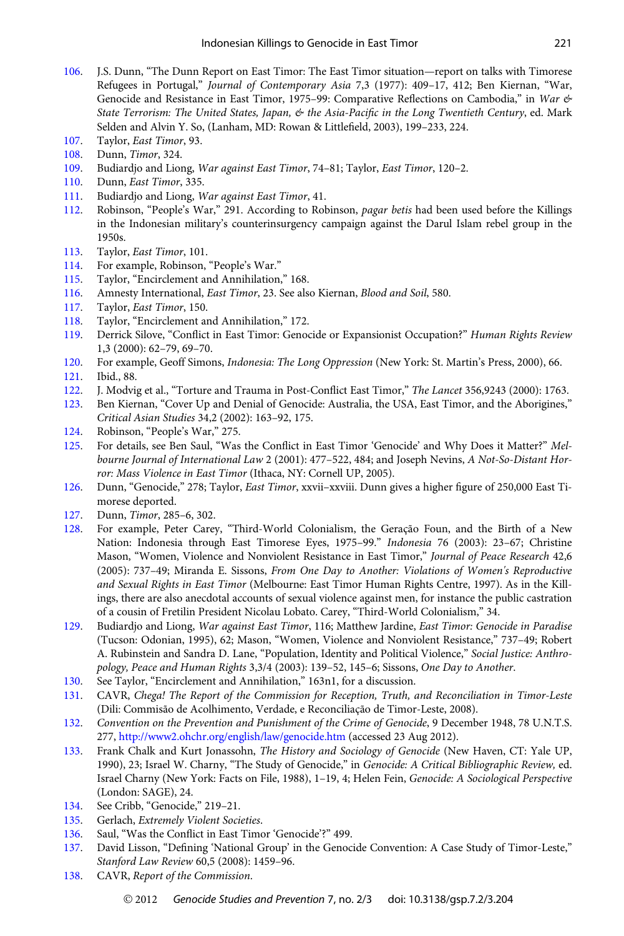- <span id="page-18-0"></span>[106.](#page-9-0) J.S. Dunn, "The Dunn Report on East Timor: The East Timor situation—report on talks with Timorese Refugees in Portugal," Journal of Contemporary Asia 7,3 (1977): 409–17, 412; Ben Kiernan, "War, Genocide and Resistance in East Timor, 1975–99: Comparative Reflections on Cambodia," in War & State Terrorism: The United States, Japan, & the Asia-Pacific in the Long Twentieth Century, ed. Mark Selden and Alvin Y. So, (Lanham, MD: Rowan & Littlefield, 2003), 199–233, 224.
- [107.](#page-9-0) Taylor, East Timor, 93.
- [108.](#page-9-0) Dunn, Timor, 324.
- [109.](#page-9-0) Budiardjo and Liong, War against East Timor, 74–81; Taylor, East Timor, 120–2.
- [110.](#page-10-0) Dunn, East Timor, 335.
- [111.](#page-10-0) Budiardjo and Liong, War against East Timor, 41.
- [112.](#page-10-0) Robinson, "People's War," 291. According to Robinson, pagar betis had been used before the Killings in the Indonesian military's counterinsurgency campaign against the Darul Islam rebel group in the 1950s.
- [113.](#page-10-0) Taylor, East Timor, 101.
- [114.](#page-10-0) For example, Robinson, "People's War."
- [115.](#page-10-0) Taylor, "Encirclement and Annihilation," 168.
- [116.](#page-10-0) Amnesty International, *East Timor*, 23. See also Kiernan, *Blood and Soil*, 580.<br>117. Tavlor. *East Timor*. 150.
- Taylor, East Timor, 150.
- [118.](#page-10-0) Taylor, "Encirclement and Annihilation," 172.
- [119.](#page-10-0) Derrick Silove, "Conflict in East Timor: Genocide or Expansionist Occupation?" Human Rights Review 1,3 (2000): 62–79, 69–70.
- [120.](#page-10-0) For example, Geoff Simons, Indonesia: The Long Oppression (New York: St. Martin's Press, 2000), 66.
- [121](#page-10-0). Ibid., 88.
- [122.](#page-10-0) J. Modvig et al., "Torture and Trauma in Post-Conflict East Timor," The Lancet 356,9243 (2000): 1763.<br>123. Ben Kiernan, "Cover Un and Denial of Genocide: Australia, the USA, East Timor, and the Aborigines."
- [123.](#page-10-0) Ben Kiernan, "Cover Up and Denial of Genocide: Australia, the USA, East Timor, and the Aborigines," Critical Asian Studies 34,2 (2002): 163–92, 175.
- [124.](#page-11-0) Robinson, "People's War," 275.
- [125.](#page-11-0) For details, see Ben Saul, "Was the Conflict in East Timor 'Genocide' and Why Does it Matter?" Melbourne Journal of International Law 2 (2001): 477–522, 484; and Joseph Nevins, A Not-So-Distant Horror: Mass Violence in East Timor (Ithaca, NY: Cornell UP, 2005).
- [126.](#page-11-0) Dunn, "Genocide," 278; Taylor, East Timor, xxvii–xxviii. Dunn gives a higher figure of 250,000 East Timorese deported.
- [127.](#page-11-0) Dunn, Timor, 285–6, 302.
- [128.](#page-11-0) For example, Peter Carey, "Third-World Colonialism, the Geração Foun, and the Birth of a New Nation: Indonesia through East Timorese Eyes, 1975–99." Indonesia 76 (2003): 23–67; Christine Mason, "Women, Violence and Nonviolent Resistance in East Timor," Journal of Peace Research 42,6 (2005): 737–49; Miranda E. Sissons, From One Day to Another: Violations of Women's Reproductive and Sexual Rights in East Timor (Melbourne: East Timor Human Rights Centre, 1997). As in the Killings, there are also anecdotal accounts of sexual violence against men, for instance the public castration of a cousin of Fretilin President Nicolau Lobato. Carey, "Third-World Colonialism," 34.
- [129.](#page-11-0) Budiardjo and Liong, War against East Timor, 116; Matthew Jardine, East Timor: Genocide in Paradise (Tucson: Odonian, 1995), 62; Mason, "Women, Violence and Nonviolent Resistance," 737–49; Robert A. Rubinstein and Sandra D. Lane, "Population, Identity and Political Violence," Social Justice: Anthropology, Peace and Human Rights 3,3/4 (2003): 139–52, 145–6; Sissons, One Day to Another.
- [130.](#page-11-0) See Taylor, "Encirclement and Annihilation," 163n1, for a discussion.
- [131](#page-11-0). CAVR, Chega! The Report of the Commission for Reception, Truth, and Reconciliation in Timor-Leste (Dili: Commisão de Acolhimento, Verdade, e Reconciliação de Timor-Leste, 2008).
- [132.](#page-11-0) Convention on the Prevention and Punishment of the Crime of Genocide, 9 December 1948, 78 U.N.T.S. 277, <http://www2.ohchr.org/english/law/genocide.htm> (accessed 23 Aug 2012).
- [133.](#page-12-0) Frank Chalk and Kurt Jonassohn, The History and Sociology of Genocide (New Haven, CT: Yale UP, 1990), 23; Israel W. Charny, "The Study of Genocide," in Genocide: A Critical Bibliographic Review, ed. Israel Charny (New York: Facts on File, 1988), 1–19, 4; Helen Fein, Genocide: A Sociological Perspective (London: SAGE), 24.
- [134.](#page-12-0) See Cribb, "Genocide," 219–21.
- [135](#page-12-0). Gerlach, Extremely Violent Societies.
- [136.](#page-12-0) Saul, "Was the Conflict in East Timor 'Genocide'?" 499.
- [137.](#page-12-0) David Lisson, "Defining 'National Group' in the Genocide Convention: A Case Study of Timor-Leste," Stanford Law Review 60,5 (2008): 1459–96.
- [138.](#page-12-0) CAVR, Report of the Commission.